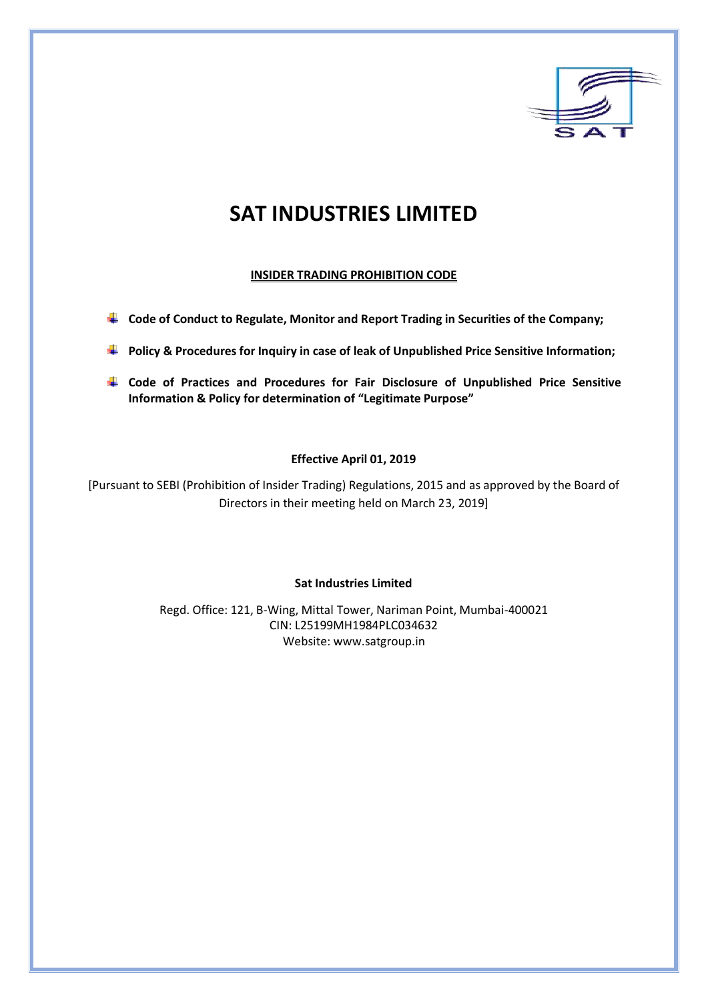

# **SAT INDUSTRIES LIMITED**

## **INSIDER TRADING PROHIBITION CODE**

- **Code of Conduct to Regulate, Monitor and Report Trading in Securities of the Company;**
- **Policy & Procedures for Inquiry in case of leak of Unpublished Price Sensitive Information;**
- **Code of Practices and Procedures for Fair Disclosure of Unpublished Price Sensitive Information & Policy for determination of "Legitimate Purpose"**

## **Effective April 01, 2019**

[Pursuant to SEBI (Prohibition of Insider Trading) Regulations, 2015 and as approved by the Board of Directors in their meeting held on March 23, 2019]

## **Sat Industries Limited**

Regd. Office: 121, B-Wing, Mittal Tower, Nariman Point, Mumbai-400021 CIN: L25199MH1984PLC034632 Website[: www.satgroup.in](http://www.satgroup.in/)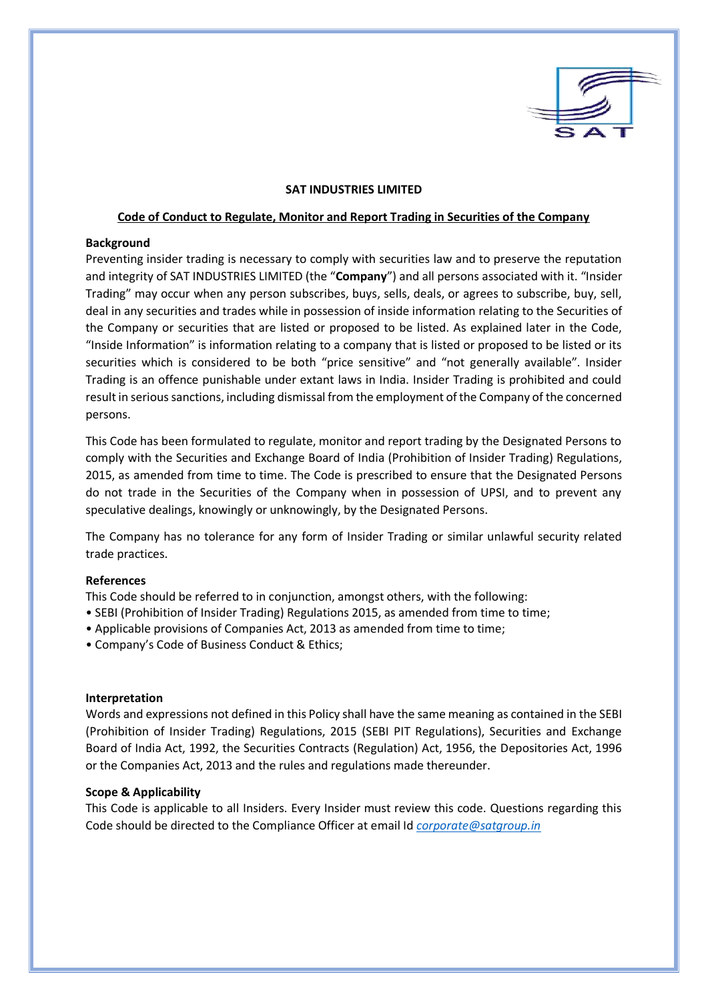

#### **SAT INDUSTRIES LIMITED**

#### **Code of Conduct to Regulate, Monitor and Report Trading in Securities of the Company**

#### **Background**

Preventing insider trading is necessary to comply with securities law and to preserve the reputation and integrity of SAT INDUSTRIES LIMITED (the "**Company**") and all persons associated with it. "Insider Trading" may occur when any person subscribes, buys, sells, deals, or agrees to subscribe, buy, sell, deal in any securities and trades while in possession of inside information relating to the Securities of the Company or securities that are listed or proposed to be listed. As explained later in the Code, "Inside Information" is information relating to a company that is listed or proposed to be listed or its securities which is considered to be both "price sensitive" and "not generally available". Insider Trading is an offence punishable under extant laws in India. Insider Trading is prohibited and could result in serious sanctions, including dismissal from the employment of the Company of the concerned persons.

This Code has been formulated to regulate, monitor and report trading by the Designated Persons to comply with the Securities and Exchange Board of India (Prohibition of Insider Trading) Regulations, 2015, as amended from time to time. The Code is prescribed to ensure that the Designated Persons do not trade in the Securities of the Company when in possession of UPSI, and to prevent any speculative dealings, knowingly or unknowingly, by the Designated Persons.

The Company has no tolerance for any form of Insider Trading or similar unlawful security related trade practices.

#### **References**

This Code should be referred to in conjunction, amongst others, with the following:

- SEBI (Prohibition of Insider Trading) Regulations 2015, as amended from time to time;
- Applicable provisions of Companies Act, 2013 as amended from time to time;
- Company's Code of Business Conduct & Ethics;

#### **Interpretation**

Words and expressions not defined in this Policy shall have the same meaning as contained in the SEBI (Prohibition of Insider Trading) Regulations, 2015 (SEBI PIT Regulations), Securities and Exchange Board of India Act, 1992, the Securities Contracts (Regulation) Act, 1956, the Depositories Act, 1996 or the Companies Act, 2013 and the rules and regulations made thereunder.

## **Scope & Applicability**

This Code is applicable to all Insiders. Every Insider must review this code. Questions regarding this Code should be directed to the Compliance Officer at email Id *[corporate@satgroup.in](mailto:corporate@satgroup.in)*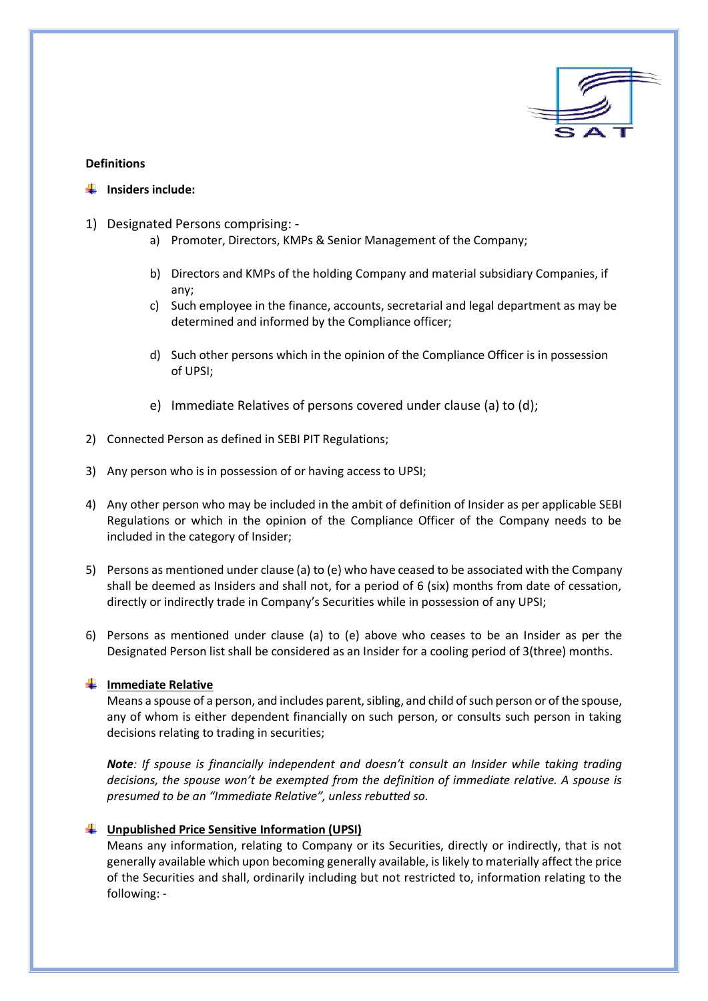

#### **Definitions**

- **Fallent** Insiders include:
- 1) Designated Persons comprising:
	- a) Promoter, Directors, KMPs & Senior Management of the Company;
	- b) Directors and KMPs of the holding Company and material subsidiary Companies, if any;
	- c) Such employee in the finance, accounts, secretarial and legal department as may be determined and informed by the Compliance officer;
	- d) Such other persons which in the opinion of the Compliance Officer is in possession of UPSI;
	- e) Immediate Relatives of persons covered under clause (a) to (d);
- 2) Connected Person as defined in SEBI PIT Regulations;
- 3) Any person who is in possession of or having access to UPSI;
- 4) Any other person who may be included in the ambit of definition of Insider as per applicable SEBI Regulations or which in the opinion of the Compliance Officer of the Company needs to be included in the category of Insider;
- 5) Persons as mentioned under clause (a) to (e) who have ceased to be associated with the Company shall be deemed as Insiders and shall not, for a period of 6 (six) months from date of cessation, directly or indirectly trade in Company's Securities while in possession of any UPSI;
- 6) Persons as mentioned under clause (a) to (e) above who ceases to be an Insider as per the Designated Person list shall be considered as an Insider for a cooling period of 3(three) months.

## **Immediate Relative**

Means a spouse of a person, and includes parent, sibling, and child of such person or of the spouse, any of whom is either dependent financially on such person, or consults such person in taking decisions relating to trading in securities;

*Note: If spouse is financially independent and doesn't consult an Insider while taking trading decisions, the spouse won't be exempted from the definition of immediate relative. A spouse is presumed to be an "Immediate Relative", unless rebutted so.*

## **Unpublished Price Sensitive Information (UPSI)**

Means any information, relating to Company or its Securities, directly or indirectly, that is not generally available which upon becoming generally available, is likely to materially affect the price of the Securities and shall, ordinarily including but not restricted to, information relating to the following: -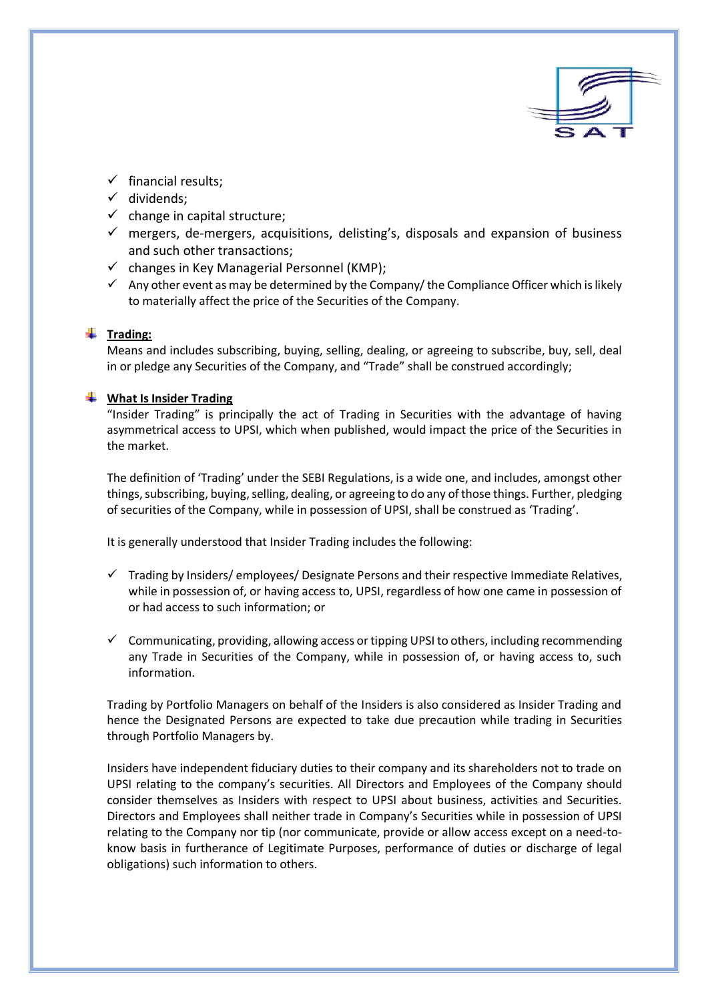

- $\checkmark$  financial results:
- $\checkmark$  dividends;
- $\checkmark$  change in capital structure;
- $\checkmark$  mergers, de-mergers, acquisitions, delisting's, disposals and expansion of business and such other transactions;
- $\checkmark$  changes in Key Managerial Personnel (KMP);
- $\checkmark$  Any other event as may be determined by the Company/ the Compliance Officer which is likely to materially affect the price of the Securities of the Company.

## **Trading:**

Means and includes subscribing, buying, selling, dealing, or agreeing to subscribe, buy, sell, deal in or pledge any Securities of the Company, and "Trade" shall be construed accordingly;

#### **What Is Insider Trading**

"Insider Trading" is principally the act of Trading in Securities with the advantage of having asymmetrical access to UPSI, which when published, would impact the price of the Securities in the market.

The definition of 'Trading' under the SEBI Regulations, is a wide one, and includes, amongst other things, subscribing, buying, selling, dealing, or agreeing to do any of those things. Further, pledging of securities of the Company, while in possession of UPSI, shall be construed as 'Trading'.

It is generally understood that Insider Trading includes the following:

- $\checkmark$  Trading by Insiders/ employees/ Designate Persons and their respective Immediate Relatives, while in possession of, or having access to, UPSI, regardless of how one came in possession of or had access to such information; or
- $\checkmark$  Communicating, providing, allowing access or tipping UPSI to others, including recommending any Trade in Securities of the Company, while in possession of, or having access to, such information.

Trading by Portfolio Managers on behalf of the Insiders is also considered as Insider Trading and hence the Designated Persons are expected to take due precaution while trading in Securities through Portfolio Managers by.

Insiders have independent fiduciary duties to their company and its shareholders not to trade on UPSI relating to the company's securities. All Directors and Employees of the Company should consider themselves as Insiders with respect to UPSI about business, activities and Securities. Directors and Employees shall neither trade in Company's Securities while in possession of UPSI relating to the Company nor tip (nor communicate, provide or allow access except on a need-toknow basis in furtherance of Legitimate Purposes, performance of duties or discharge of legal obligations) such information to others.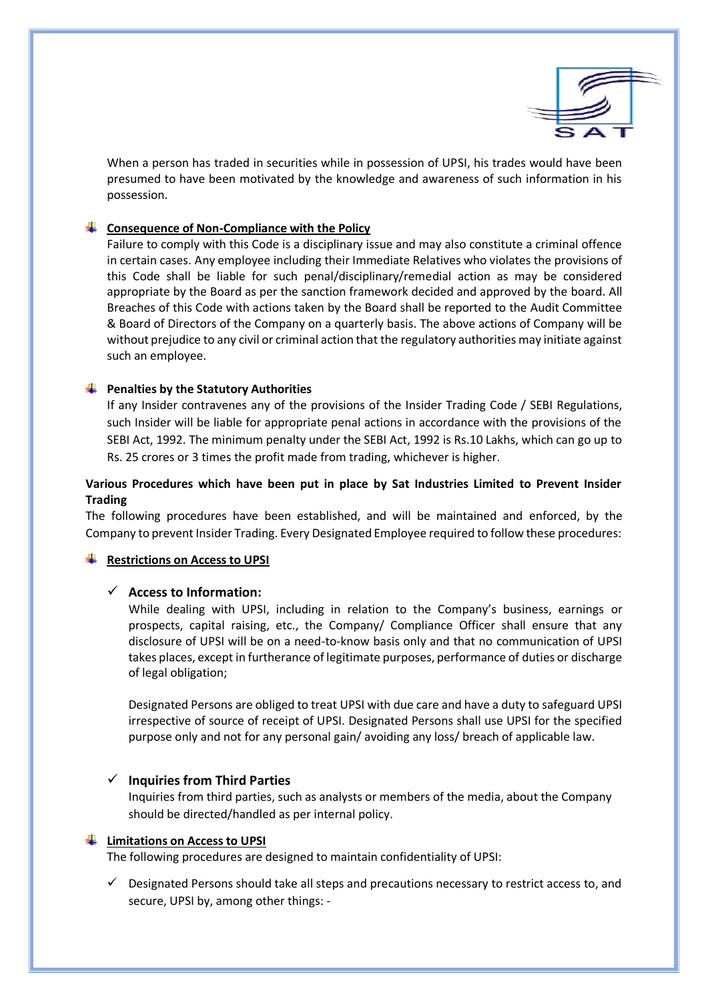

When a person has traded in securities while in possession of UPSI, his trades would have been presumed to have been motivated by the knowledge and awareness of such information in his possession.

## **Consequence of Non-Compliance with the Policy**

Failure to comply with this Code is a disciplinary issue and may also constitute a criminal offence in certain cases. Any employee including their Immediate Relatives who violates the provisions of this Code shall be liable for such penal/disciplinary/remedial action as may be considered appropriate by the Board as per the sanction framework decided and approved by the board. All Breaches of this Code with actions taken by the Board shall be reported to the Audit Committee & Board of Directors of the Company on a quarterly basis. The above actions of Company will be without prejudice to any civil or criminal action that the regulatory authorities may initiate against such an employee.

## **Penalties by the Statutory Authorities**

If any Insider contravenes any of the provisions of the Insider Trading Code / SEBI Regulations, such Insider will be liable for appropriate penal actions in accordance with the provisions of the SEBI Act, 1992. The minimum penalty under the SEBI Act, 1992 is Rs.10 Lakhs, which can go up to Rs. 25 crores or 3 times the profit made from trading, whichever is higher.

## **Various Procedures which have been put in place by Sat Industries Limited to Prevent Insider Trading**

The following procedures have been established, and will be maintained and enforced, by the Company to prevent Insider Trading. Every Designated Employee required to follow these procedures:

## **Restrictions on Access to UPSI**

## **Access to Information:**

While dealing with UPSI, including in relation to the Company's business, earnings or prospects, capital raising, etc., the Company/ Compliance Officer shall ensure that any disclosure of UPSI will be on a need-to-know basis only and that no communication of UPSI takes places, except in furtherance of legitimate purposes, performance of duties or discharge of legal obligation;

Designated Persons are obliged to treat UPSI with due care and have a duty to safeguard UPSI irrespective of source of receipt of UPSI. Designated Persons shall use UPSI for the specified purpose only and not for any personal gain/ avoiding any loss/ breach of applicable law.

## **Inquiries from Third Parties**

Inquiries from third parties, such as analysts or members of the media, about the Company should be directed/handled as per internal policy.

## **Limitations on Access to UPSI**

The following procedures are designed to maintain confidentiality of UPSI:

 $\checkmark$  Designated Persons should take all steps and precautions necessary to restrict access to, and secure, UPSI by, among other things: -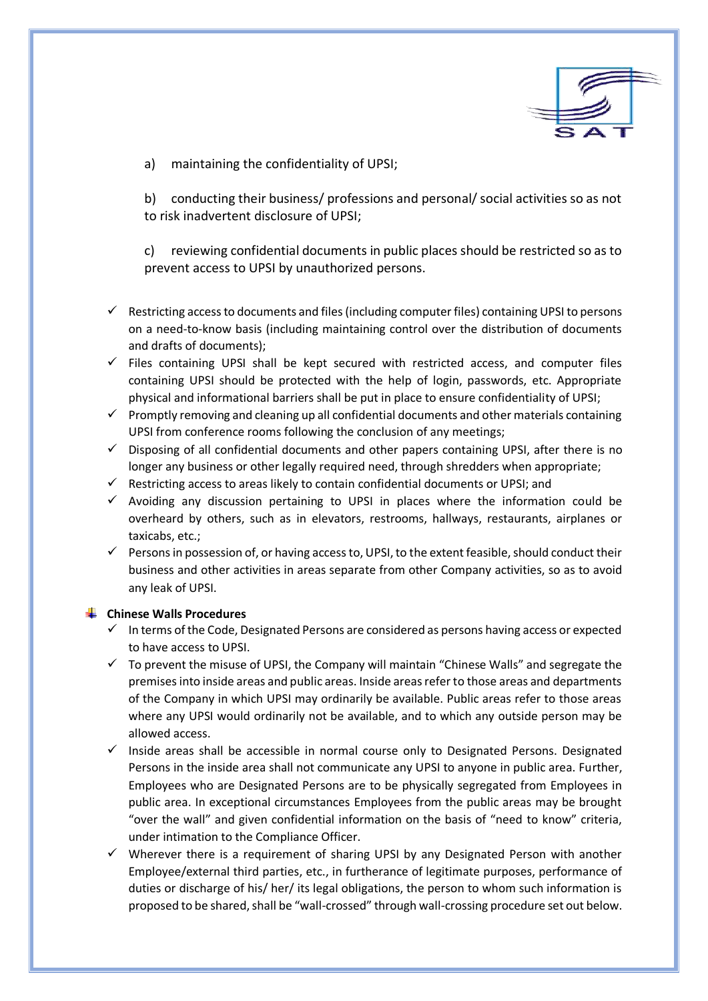

a) maintaining the confidentiality of UPSI;

b) conducting their business/ professions and personal/ social activities so as not to risk inadvertent disclosure of UPSI;

c) reviewing confidential documents in public places should be restricted so as to prevent access to UPSI by unauthorized persons.

- $\checkmark$  Restricting access to documents and files (including computer files) containing UPSI to persons on a need-to-know basis (including maintaining control over the distribution of documents and drafts of documents);
- $\checkmark$  Files containing UPSI shall be kept secured with restricted access, and computer files containing UPSI should be protected with the help of login, passwords, etc. Appropriate physical and informational barriers shall be put in place to ensure confidentiality of UPSI;
- $\checkmark$  Promptly removing and cleaning up all confidential documents and other materials containing UPSI from conference rooms following the conclusion of any meetings;
- $\checkmark$  Disposing of all confidential documents and other papers containing UPSI, after there is no longer any business or other legally required need, through shredders when appropriate;
- $\checkmark$  Restricting access to areas likely to contain confidential documents or UPSI; and
- $\checkmark$  Avoiding any discussion pertaining to UPSI in places where the information could be overheard by others, such as in elevators, restrooms, hallways, restaurants, airplanes or taxicabs, etc.;
- $\checkmark$  Persons in possession of, or having access to, UPSI, to the extent feasible, should conduct their business and other activities in areas separate from other Company activities, so as to avoid any leak of UPSI.

## **Chinese Walls Procedures**

- $\checkmark$  In terms of the Code, Designated Persons are considered as persons having access or expected to have access to UPSI.
- $\checkmark$  To prevent the misuse of UPSI, the Company will maintain "Chinese Walls" and segregate the premises into inside areas and public areas. Inside areas refer to those areas and departments of the Company in which UPSI may ordinarily be available. Public areas refer to those areas where any UPSI would ordinarily not be available, and to which any outside person may be allowed access.
- $\checkmark$  Inside areas shall be accessible in normal course only to Designated Persons. Designated Persons in the inside area shall not communicate any UPSI to anyone in public area. Further, Employees who are Designated Persons are to be physically segregated from Employees in public area. In exceptional circumstances Employees from the public areas may be brought "over the wall" and given confidential information on the basis of "need to know" criteria, under intimation to the Compliance Officer.
- $\checkmark$  Wherever there is a requirement of sharing UPSI by any Designated Person with another Employee/external third parties, etc., in furtherance of legitimate purposes, performance of duties or discharge of his/ her/ its legal obligations, the person to whom such information is proposed to be shared, shall be "wall-crossed" through wall-crossing procedure set out below.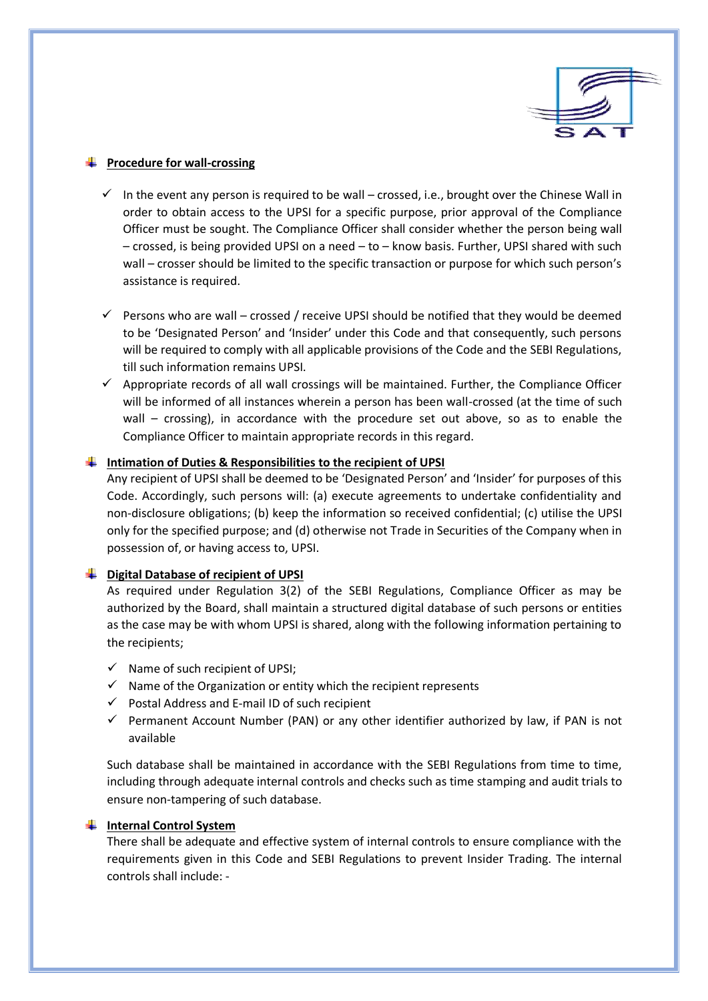

## **Procedure for wall-crossing**

- $\checkmark$  In the event any person is required to be wall crossed, i.e., brought over the Chinese Wall in order to obtain access to the UPSI for a specific purpose, prior approval of the Compliance Officer must be sought. The Compliance Officer shall consider whether the person being wall – crossed, is being provided UPSI on a need – to – know basis. Further, UPSI shared with such wall – crosser should be limited to the specific transaction or purpose for which such person's assistance is required.
- $\checkmark$  Persons who are wall crossed / receive UPSI should be notified that they would be deemed to be 'Designated Person' and 'Insider' under this Code and that consequently, such persons will be required to comply with all applicable provisions of the Code and the SEBI Regulations, till such information remains UPSI.
- $\checkmark$  Appropriate records of all wall crossings will be maintained. Further, the Compliance Officer will be informed of all instances wherein a person has been wall-crossed (at the time of such wall – crossing), in accordance with the procedure set out above, so as to enable the Compliance Officer to maintain appropriate records in this regard.

## **Intimation of Duties & Responsibilities to the recipient of UPSI**

Any recipient of UPSI shall be deemed to be 'Designated Person' and 'Insider' for purposes of this Code. Accordingly, such persons will: (a) execute agreements to undertake confidentiality and non-disclosure obligations; (b) keep the information so received confidential; (c) utilise the UPSI only for the specified purpose; and (d) otherwise not Trade in Securities of the Company when in possession of, or having access to, UPSI.

## **Digital Database of recipient of UPSI**

As required under Regulation 3(2) of the SEBI Regulations, Compliance Officer as may be authorized by the Board, shall maintain a structured digital database of such persons or entities as the case may be with whom UPSI is shared, along with the following information pertaining to the recipients;

- $\checkmark$  Name of such recipient of UPSI;
- $\checkmark$  Name of the Organization or entity which the recipient represents
- $\checkmark$  Postal Address and E-mail ID of such recipient
- $\checkmark$  Permanent Account Number (PAN) or any other identifier authorized by law, if PAN is not available

Such database shall be maintained in accordance with the SEBI Regulations from time to time, including through adequate internal controls and checks such as time stamping and audit trials to ensure non-tampering of such database.

## **Internal Control System**

There shall be adequate and effective system of internal controls to ensure compliance with the requirements given in this Code and SEBI Regulations to prevent Insider Trading. The internal controls shall include: -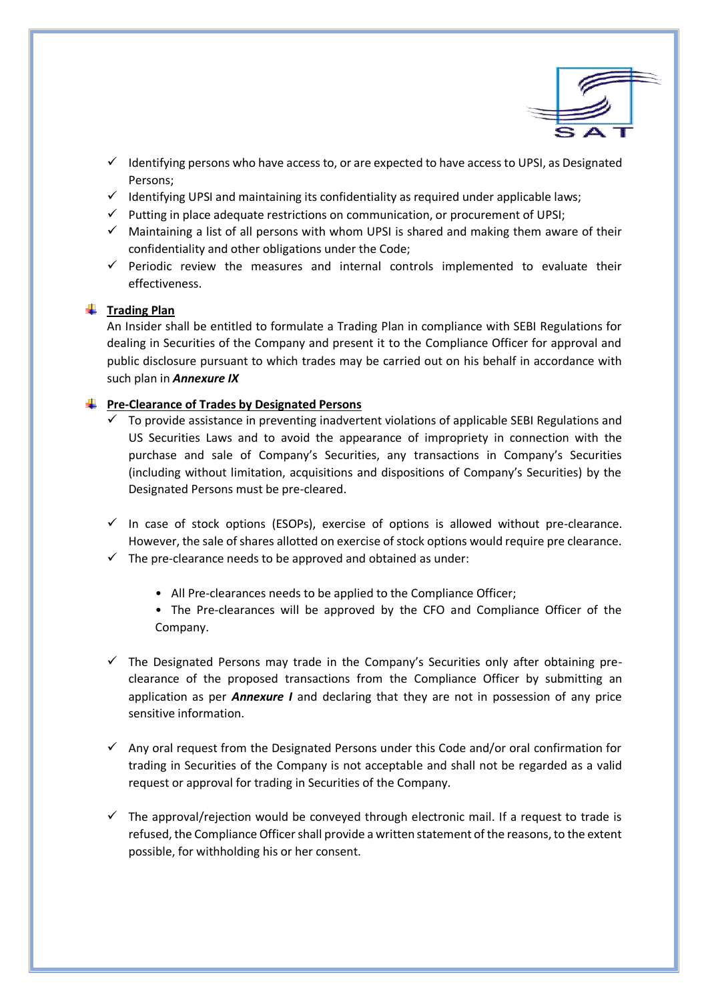

- $\checkmark$  Identifying persons who have access to, or are expected to have access to UPSI, as Designated Persons;
- $\checkmark$  Identifying UPSI and maintaining its confidentiality as required under applicable laws;
- $\checkmark$  Putting in place adequate restrictions on communication, or procurement of UPSI;
- $\checkmark$  Maintaining a list of all persons with whom UPSI is shared and making them aware of their confidentiality and other obligations under the Code;
- $\checkmark$  Periodic review the measures and internal controls implemented to evaluate their effectiveness.

## **<sup>↓</sup> Trading Plan**

An Insider shall be entitled to formulate a Trading Plan in compliance with SEBI Regulations for dealing in Securities of the Company and present it to the Compliance Officer for approval and public disclosure pursuant to which trades may be carried out on his behalf in accordance with such plan in *Annexure IX*

## **Pre-Clearance of Trades by Designated Persons**

- $\checkmark$  To provide assistance in preventing inadvertent violations of applicable SEBI Regulations and US Securities Laws and to avoid the appearance of impropriety in connection with the purchase and sale of Company's Securities, any transactions in Company's Securities (including without limitation, acquisitions and dispositions of Company's Securities) by the Designated Persons must be pre-cleared.
- $\checkmark$  In case of stock options (ESOPs), exercise of options is allowed without pre-clearance. However, the sale of shares allotted on exercise of stock options would require pre clearance.
- $\checkmark$  The pre-clearance needs to be approved and obtained as under:
	- All Pre-clearances needs to be applied to the Compliance Officer;
	- The Pre-clearances will be approved by the CFO and Compliance Officer of the Company.
- $\checkmark$  The Designated Persons may trade in the Company's Securities only after obtaining preclearance of the proposed transactions from the Compliance Officer by submitting an application as per *Annexure I* and declaring that they are not in possession of any price sensitive information.
- $\checkmark$  Any oral request from the Designated Persons under this Code and/or oral confirmation for trading in Securities of the Company is not acceptable and shall not be regarded as a valid request or approval for trading in Securities of the Company.
- $\checkmark$  The approval/rejection would be conveyed through electronic mail. If a request to trade is refused, the Compliance Officer shall provide a written statement of the reasons, to the extent possible, for withholding his or her consent.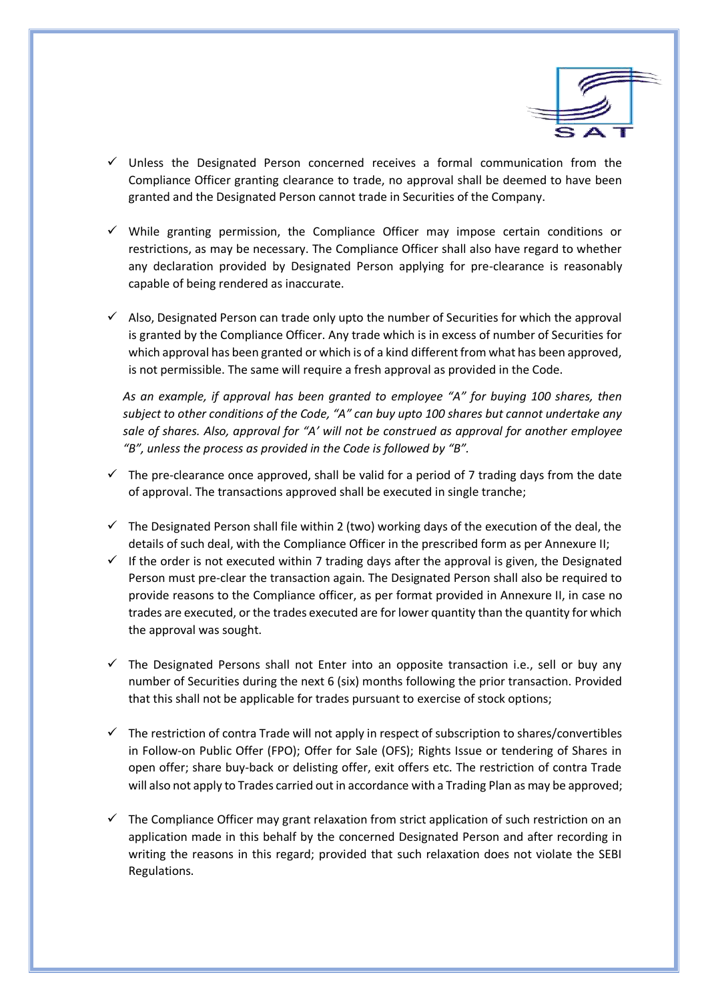

- $\checkmark$  Unless the Designated Person concerned receives a formal communication from the Compliance Officer granting clearance to trade, no approval shall be deemed to have been granted and the Designated Person cannot trade in Securities of the Company.
- $\checkmark$  While granting permission, the Compliance Officer may impose certain conditions or restrictions, as may be necessary. The Compliance Officer shall also have regard to whether any declaration provided by Designated Person applying for pre-clearance is reasonably capable of being rendered as inaccurate.
- $\checkmark$  Also, Designated Person can trade only upto the number of Securities for which the approval is granted by the Compliance Officer. Any trade which is in excess of number of Securities for which approval has been granted or which is of a kind different from what has been approved, is not permissible. The same will require a fresh approval as provided in the Code.

*As an example, if approval has been granted to employee "A" for buying 100 shares, then subject to other conditions of the Code, "A" can buy upto 100 shares but cannot undertake any sale of shares. Also, approval for "A' will not be construed as approval for another employee "B", unless the process as provided in the Code is followed by "B".*

- $\checkmark$  The pre-clearance once approved, shall be valid for a period of 7 trading days from the date of approval. The transactions approved shall be executed in single tranche;
- $\checkmark$  The Designated Person shall file within 2 (two) working days of the execution of the deal, the details of such deal, with the Compliance Officer in the prescribed form as per Annexure II;
- $\checkmark$  If the order is not executed within 7 trading days after the approval is given, the Designated Person must pre-clear the transaction again. The Designated Person shall also be required to provide reasons to the Compliance officer, as per format provided in Annexure II, in case no trades are executed, or the trades executed are for lower quantity than the quantity for which the approval was sought.
- $\checkmark$  The Designated Persons shall not Enter into an opposite transaction i.e., sell or buy any number of Securities during the next 6 (six) months following the prior transaction. Provided that this shall not be applicable for trades pursuant to exercise of stock options;
- $\checkmark$  The restriction of contra Trade will not apply in respect of subscription to shares/convertibles in Follow-on Public Offer (FPO); Offer for Sale (OFS); Rights Issue or tendering of Shares in open offer; share buy-back or delisting offer, exit offers etc. The restriction of contra Trade will also not apply to Trades carried out in accordance with a Trading Plan as may be approved;
- $\checkmark$  The Compliance Officer may grant relaxation from strict application of such restriction on an application made in this behalf by the concerned Designated Person and after recording in writing the reasons in this regard; provided that such relaxation does not violate the SEBI Regulations.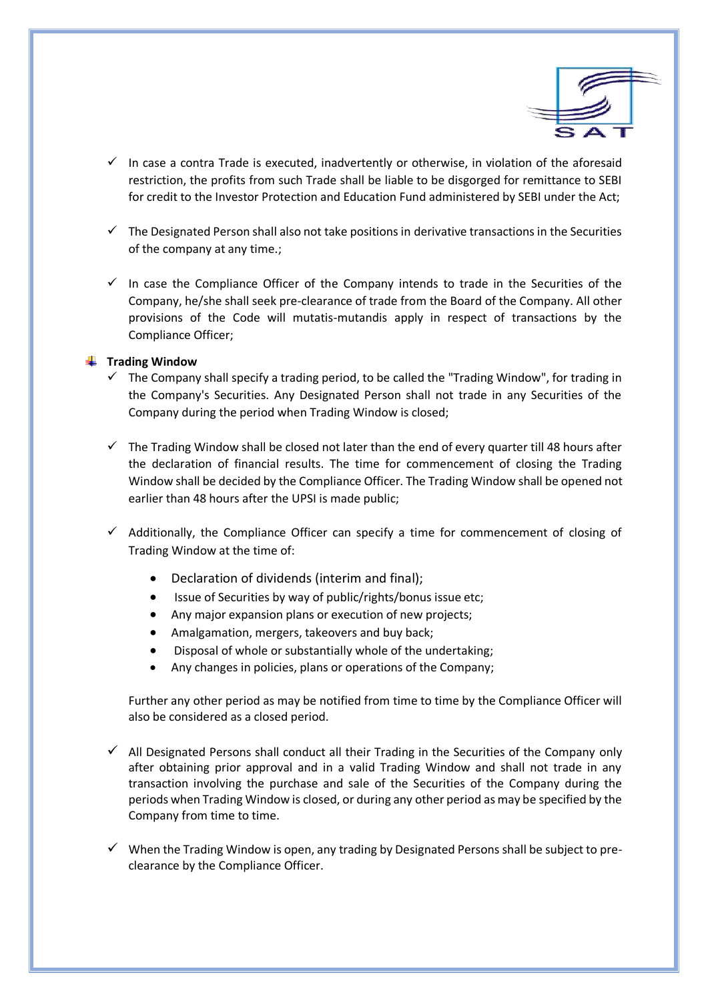

- $\checkmark$  In case a contra Trade is executed, inadvertently or otherwise, in violation of the aforesaid restriction, the profits from such Trade shall be liable to be disgorged for remittance to SEBI for credit to the Investor Protection and Education Fund administered by SEBI under the Act;
- $\checkmark$  The Designated Person shall also not take positions in derivative transactions in the Securities of the company at any time.;
- $\checkmark$  In case the Compliance Officer of the Company intends to trade in the Securities of the Company, he/she shall seek pre-clearance of trade from the Board of the Company. All other provisions of the Code will mutatis-mutandis apply in respect of transactions by the Compliance Officer;

#### **Trading Window**

- $\checkmark$  The Company shall specify a trading period, to be called the "Trading Window", for trading in the Company's Securities. Any Designated Person shall not trade in any Securities of the Company during the period when Trading Window is closed;
- $\checkmark$  The Trading Window shall be closed not later than the end of every quarter till 48 hours after the declaration of financial results. The time for commencement of closing the Trading Window shall be decided by the Compliance Officer. The Trading Window shall be opened not earlier than 48 hours after the UPSI is made public;
- $\checkmark$  Additionally, the Compliance Officer can specify a time for commencement of closing of Trading Window at the time of:
	- Declaration of dividends (interim and final);
	- Issue of Securities by way of public/rights/bonus issue etc;
	- Any major expansion plans or execution of new projects;
	- Amalgamation, mergers, takeovers and buy back;
	- Disposal of whole or substantially whole of the undertaking;
	- Any changes in policies, plans or operations of the Company;

Further any other period as may be notified from time to time by the Compliance Officer will also be considered as a closed period.

- $\checkmark$  All Designated Persons shall conduct all their Trading in the Securities of the Company only after obtaining prior approval and in a valid Trading Window and shall not trade in any transaction involving the purchase and sale of the Securities of the Company during the periods when Trading Window is closed, or during any other period as may be specified by the Company from time to time.
- $\checkmark$  When the Trading Window is open, any trading by Designated Persons shall be subject to preclearance by the Compliance Officer.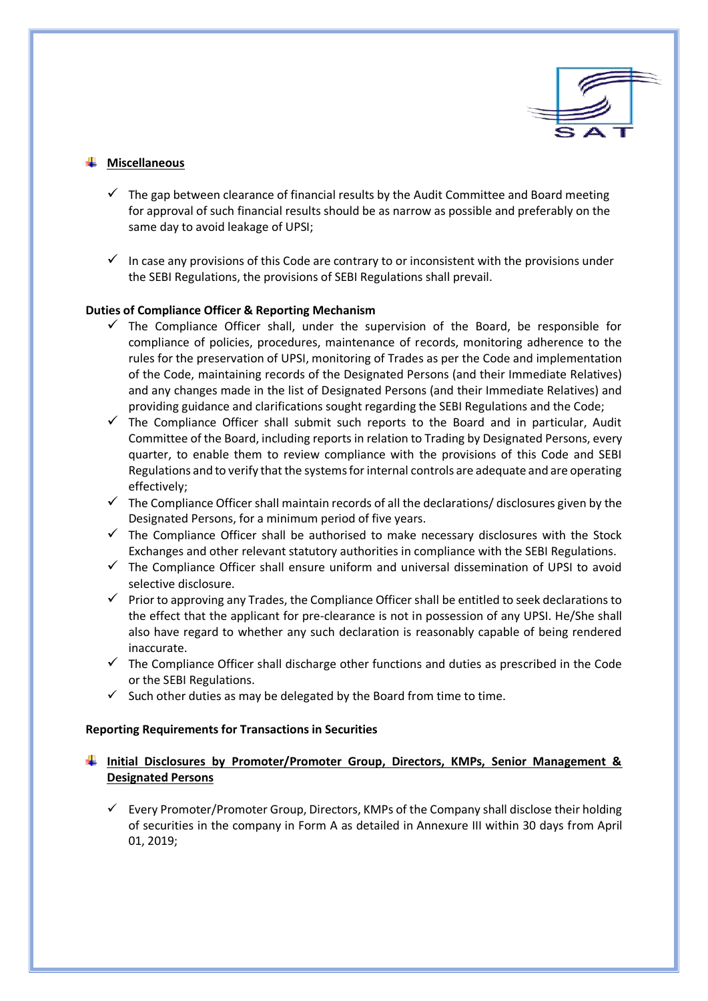

## **Miscellaneous**

- $\checkmark$  The gap between clearance of financial results by the Audit Committee and Board meeting for approval of such financial results should be as narrow as possible and preferably on the same day to avoid leakage of UPSI;
- In case any provisions of this Code are contrary to or inconsistent with the provisions under the SEBI Regulations, the provisions of SEBI Regulations shall prevail.

## **Duties of Compliance Officer & Reporting Mechanism**

- $\checkmark$  The Compliance Officer shall, under the supervision of the Board, be responsible for compliance of policies, procedures, maintenance of records, monitoring adherence to the rules for the preservation of UPSI, monitoring of Trades as per the Code and implementation of the Code, maintaining records of the Designated Persons (and their Immediate Relatives) and any changes made in the list of Designated Persons (and their Immediate Relatives) and providing guidance and clarifications sought regarding the SEBI Regulations and the Code;
- $\checkmark$  The Compliance Officer shall submit such reports to the Board and in particular, Audit Committee of the Board, including reports in relation to Trading by Designated Persons, every quarter, to enable them to review compliance with the provisions of this Code and SEBI Regulations and to verify that the systems for internal controls are adequate and are operating effectively;
- $\checkmark$  The Compliance Officer shall maintain records of all the declarations/ disclosures given by the Designated Persons, for a minimum period of five years.
- $\checkmark$  The Compliance Officer shall be authorised to make necessary disclosures with the Stock Exchanges and other relevant statutory authorities in compliance with the SEBI Regulations.
- $\checkmark$  The Compliance Officer shall ensure uniform and universal dissemination of UPSI to avoid selective disclosure.
- $\checkmark$  Prior to approving any Trades, the Compliance Officer shall be entitled to seek declarations to the effect that the applicant for pre-clearance is not in possession of any UPSI. He/She shall also have regard to whether any such declaration is reasonably capable of being rendered inaccurate.
- $\checkmark$  The Compliance Officer shall discharge other functions and duties as prescribed in the Code or the SEBI Regulations.
- $\checkmark$  Such other duties as may be delegated by the Board from time to time.

## **Reporting Requirements for Transactions in Securities**

## **Initial Disclosures by Promoter/Promoter Group, Directors, KMPs, Senior Management & Designated Persons**

 $\checkmark$  Every Promoter/Promoter Group, Directors, KMPs of the Company shall disclose their holding of securities in the company in Form A as detailed in Annexure III within 30 days from April 01, 2019;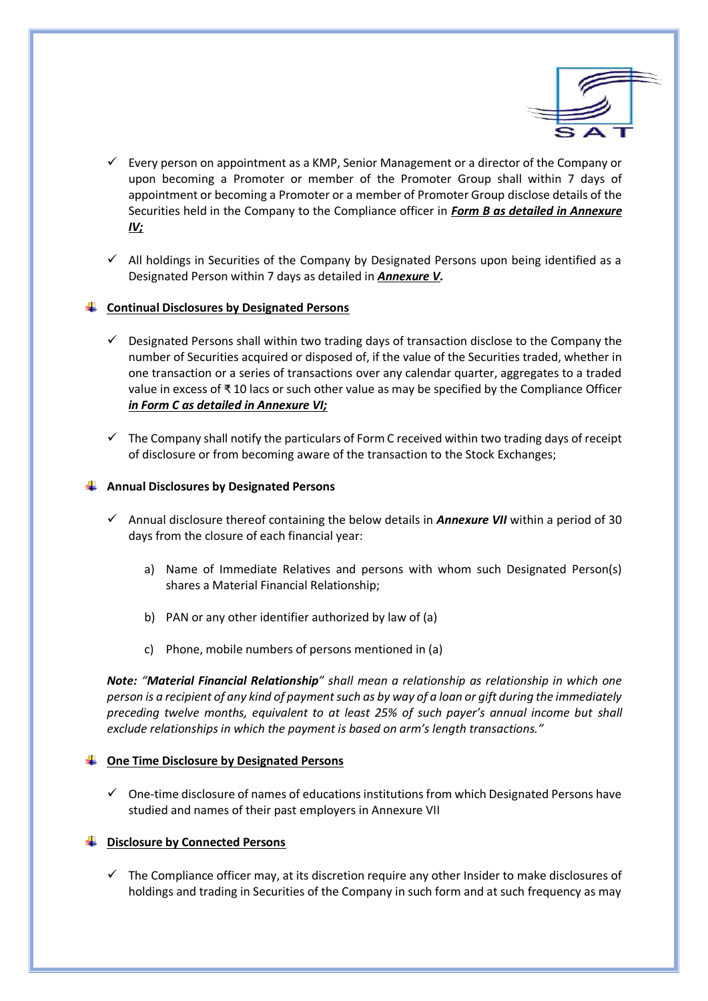

- Every person on appointment as a KMP, Senior Management or a director of the Company or upon becoming a Promoter or member of the Promoter Group shall within 7 days of appointment or becoming a Promoter or a member of Promoter Group disclose details of the Securities held in the Company to the Compliance officer in *Form B as detailed in Annexure IV;*
- $\checkmark$  All holdings in Securities of the Company by Designated Persons upon being identified as a Designated Person within 7 days as detailed in *Annexure V.*

## **Continual Disclosures by Designated Persons**

- $\checkmark$  Designated Persons shall within two trading days of transaction disclose to the Company the number of Securities acquired or disposed of, if the value of the Securities traded, whether in one transaction or a series of transactions over any calendar quarter, aggregates to a traded value in excess of ₹ 10 lacs or such other value as may be specified by the Compliance Officer *in Form C as detailed in Annexure VI;*
- $\checkmark$  The Company shall notify the particulars of Form C received within two trading days of receipt of disclosure or from becoming aware of the transaction to the Stock Exchanges;

#### **Annual Disclosures by Designated Persons**

- Annual disclosure thereof containing the below details in *Annexure VII* within a period of 30 days from the closure of each financial year:
	- a) Name of Immediate Relatives and persons with whom such Designated Person(s) shares a Material Financial Relationship;
	- b) PAN or any other identifier authorized by law of (a)
	- c) Phone, mobile numbers of persons mentioned in (a)

*Note: "Material Financial Relationship" shall mean a relationship as relationship in which one person is a recipient of any kind of payment such as by way of a loan or gift during the immediately preceding twelve months, equivalent to at least 25% of such payer's annual income but shall exclude relationships in which the payment is based on arm's length transactions."*

#### **One Time Disclosure by Designated Persons**

 $\checkmark$  One-time disclosure of names of educations institutions from which Designated Persons have studied and names of their past employers in Annexure VII

## **Disclosure by Connected Persons**

 $\checkmark$  The Compliance officer may, at its discretion require any other Insider to make disclosures of holdings and trading in Securities of the Company in such form and at such frequency as may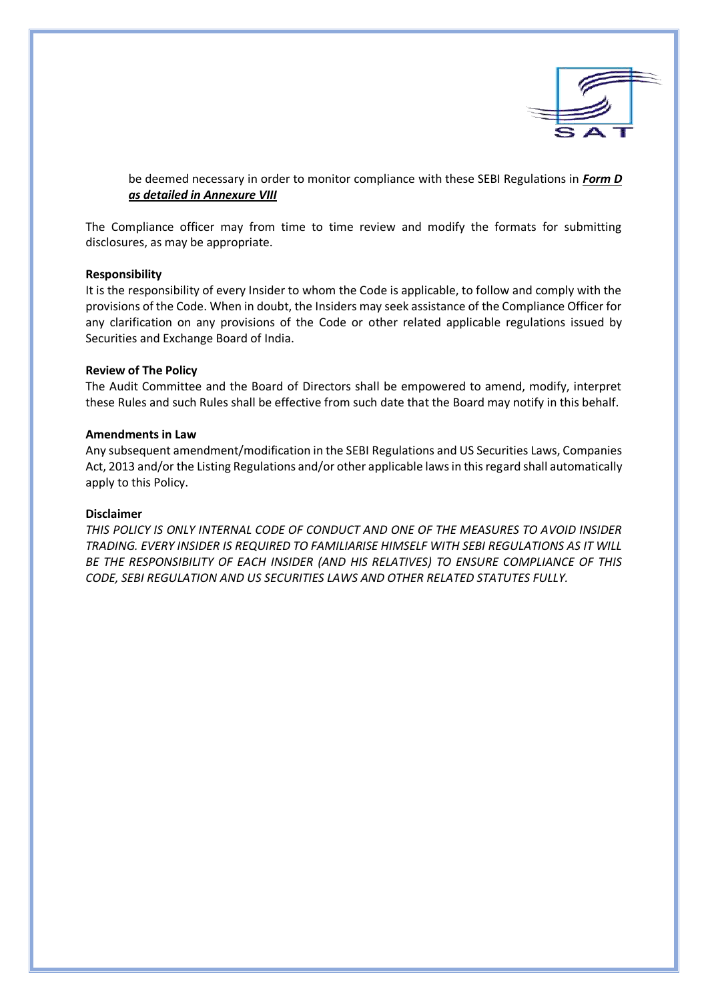

be deemed necessary in order to monitor compliance with these SEBI Regulations in *Form D as detailed in Annexure VIII* 

The Compliance officer may from time to time review and modify the formats for submitting disclosures, as may be appropriate.

#### **Responsibility**

It is the responsibility of every Insider to whom the Code is applicable, to follow and comply with the provisions of the Code. When in doubt, the Insiders may seek assistance of the Compliance Officer for any clarification on any provisions of the Code or other related applicable regulations issued by Securities and Exchange Board of India.

#### **Review of The Policy**

The Audit Committee and the Board of Directors shall be empowered to amend, modify, interpret these Rules and such Rules shall be effective from such date that the Board may notify in this behalf.

#### **Amendments in Law**

Any subsequent amendment/modification in the SEBI Regulations and US Securities Laws, Companies Act, 2013 and/or the Listing Regulations and/or other applicable laws in this regard shall automatically apply to this Policy.

#### **Disclaimer**

*THIS POLICY IS ONLY INTERNAL CODE OF CONDUCT AND ONE OF THE MEASURES TO AVOID INSIDER TRADING. EVERY INSIDER IS REQUIRED TO FAMILIARISE HIMSELF WITH SEBI REGULATIONS AS IT WILL BE THE RESPONSIBILITY OF EACH INSIDER (AND HIS RELATIVES) TO ENSURE COMPLIANCE OF THIS CODE, SEBI REGULATION AND US SECURITIES LAWS AND OTHER RELATED STATUTES FULLY.*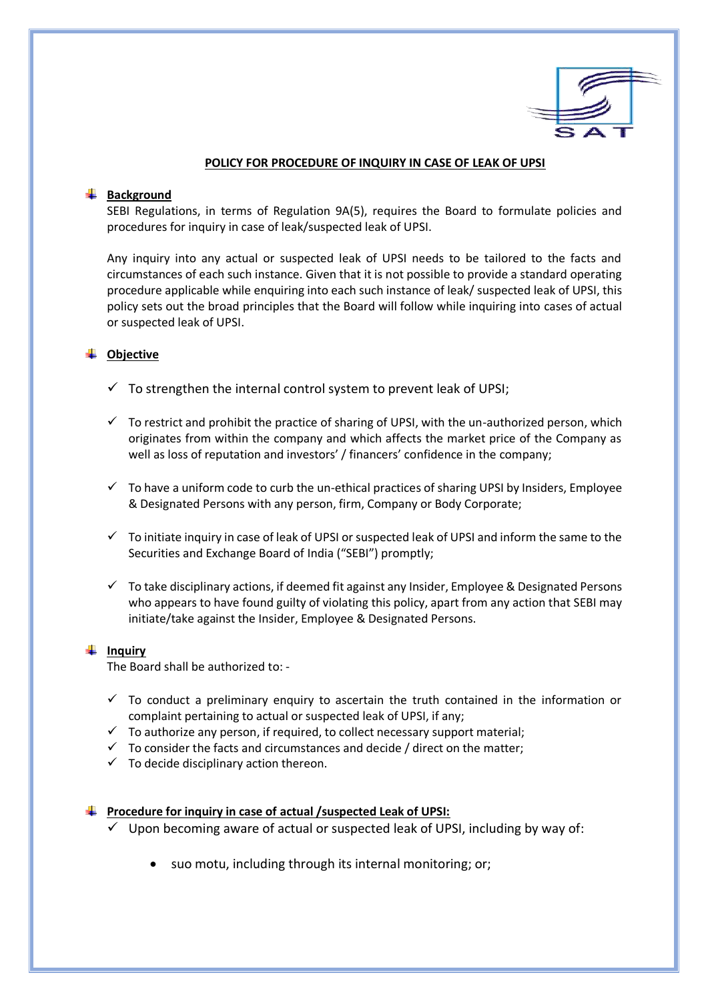

#### **POLICY FOR PROCEDURE OF INQUIRY IN CASE OF LEAK OF UPSI**

#### **Background**

SEBI Regulations, in terms of Regulation 9A(5), requires the Board to formulate policies and procedures for inquiry in case of leak/suspected leak of UPSI.

Any inquiry into any actual or suspected leak of UPSI needs to be tailored to the facts and circumstances of each such instance. Given that it is not possible to provide a standard operating procedure applicable while enquiring into each such instance of leak/ suspected leak of UPSI, this policy sets out the broad principles that the Board will follow while inquiring into cases of actual or suspected leak of UPSI.

## **Objective**

- $\checkmark$  To strengthen the internal control system to prevent leak of UPSI;
- $\checkmark$  To restrict and prohibit the practice of sharing of UPSI, with the un-authorized person, which originates from within the company and which affects the market price of the Company as well as loss of reputation and investors' / financers' confidence in the company;
- $\checkmark$  To have a uniform code to curb the un-ethical practices of sharing UPSI by Insiders, Employee & Designated Persons with any person, firm, Company or Body Corporate;
- $\checkmark$  To initiate inquiry in case of leak of UPSI or suspected leak of UPSI and inform the same to the Securities and Exchange Board of India ("SEBI") promptly;
- $\checkmark$  To take disciplinary actions, if deemed fit against any Insider, Employee & Designated Persons who appears to have found guilty of violating this policy, apart from any action that SEBI may initiate/take against the Insider, Employee & Designated Persons.

#### **Inquiry**

The Board shall be authorized to: -

- $\checkmark$  To conduct a preliminary enquiry to ascertain the truth contained in the information or complaint pertaining to actual or suspected leak of UPSI, if any;
- $\checkmark$  To authorize any person, if required, to collect necessary support material;
- $\checkmark$  To consider the facts and circumstances and decide / direct on the matter;
- $\checkmark$  To decide disciplinary action thereon.

**Procedure for inquiry in case of actual /suspected Leak of UPSI:**

- $\checkmark$  Upon becoming aware of actual or suspected leak of UPSI, including by way of:
	- suo motu, including through its internal monitoring; or;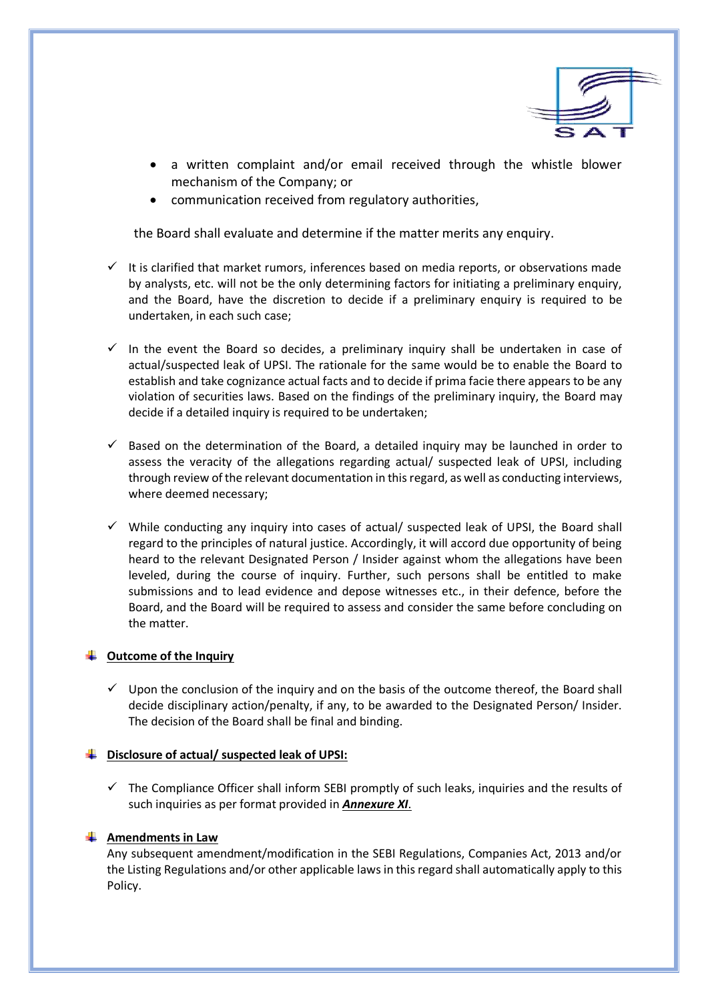

- a written complaint and/or email received through the whistle blower mechanism of the Company; or
- communication received from regulatory authorities,

the Board shall evaluate and determine if the matter merits any enquiry.

- $\checkmark$  It is clarified that market rumors, inferences based on media reports, or observations made by analysts, etc. will not be the only determining factors for initiating a preliminary enquiry, and the Board, have the discretion to decide if a preliminary enquiry is required to be undertaken, in each such case;
- $\checkmark$  In the event the Board so decides, a preliminary inquiry shall be undertaken in case of actual/suspected leak of UPSI. The rationale for the same would be to enable the Board to establish and take cognizance actual facts and to decide if prima facie there appears to be any violation of securities laws. Based on the findings of the preliminary inquiry, the Board may decide if a detailed inquiry is required to be undertaken;
- $\checkmark$  Based on the determination of the Board, a detailed inquiry may be launched in order to assess the veracity of the allegations regarding actual/ suspected leak of UPSI, including through review of the relevant documentation in this regard, as well as conducting interviews, where deemed necessary;
- $\checkmark$  While conducting any inquiry into cases of actual/ suspected leak of UPSI, the Board shall regard to the principles of natural justice. Accordingly, it will accord due opportunity of being heard to the relevant Designated Person / Insider against whom the allegations have been leveled, during the course of inquiry. Further, such persons shall be entitled to make submissions and to lead evidence and depose witnesses etc., in their defence, before the Board, and the Board will be required to assess and consider the same before concluding on the matter.

## $\downarrow$  Outcome of the Inquiry

 $\checkmark$  Upon the conclusion of the inquiry and on the basis of the outcome thereof, the Board shall decide disciplinary action/penalty, if any, to be awarded to the Designated Person/ Insider. The decision of the Board shall be final and binding.

#### **Disclosure of actual/ suspected leak of UPSI:**

 $\checkmark$  The Compliance Officer shall inform SEBI promptly of such leaks, inquiries and the results of such inquiries as per format provided in *Annexure XI*.

## **Amendments in Law**

Any subsequent amendment/modification in the SEBI Regulations, Companies Act, 2013 and/or the Listing Regulations and/or other applicable laws in this regard shall automatically apply to this Policy.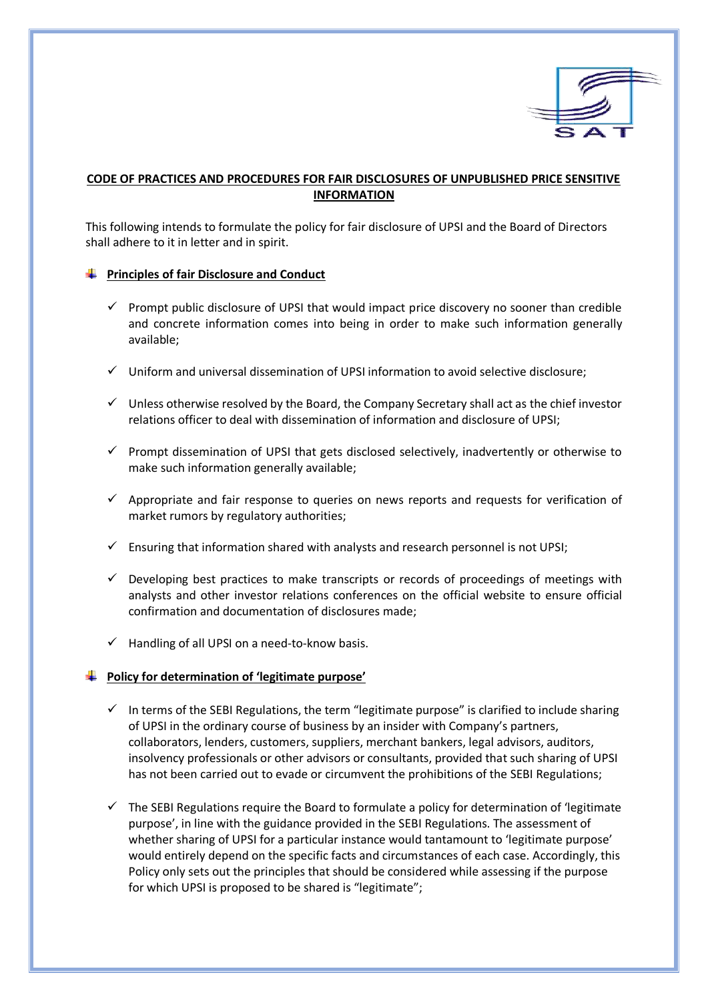

## **CODE OF PRACTICES AND PROCEDURES FOR FAIR DISCLOSURES OF UNPUBLISHED PRICE SENSITIVE INFORMATION**

This following intends to formulate the policy for fair disclosure of UPSI and the Board of Directors shall adhere to it in letter and in spirit.

## **Principles of fair Disclosure and Conduct**

- $\checkmark$  Prompt public disclosure of UPSI that would impact price discovery no sooner than credible and concrete information comes into being in order to make such information generally available;
- $\checkmark$  Uniform and universal dissemination of UPSI information to avoid selective disclosure;
- $\checkmark$  Unless otherwise resolved by the Board, the Company Secretary shall act as the chief investor relations officer to deal with dissemination of information and disclosure of UPSI;
- $\checkmark$  Prompt dissemination of UPSI that gets disclosed selectively, inadvertently or otherwise to make such information generally available;
- $\checkmark$  Appropriate and fair response to queries on news reports and requests for verification of market rumors by regulatory authorities;
- $\checkmark$  Ensuring that information shared with analysts and research personnel is not UPSI;
- $\checkmark$  Developing best practices to make transcripts or records of proceedings of meetings with analysts and other investor relations conferences on the official website to ensure official confirmation and documentation of disclosures made;
- $\checkmark$  Handling of all UPSI on a need-to-know basis.

## **Policy for determination of 'legitimate purpose'**

- $\checkmark$  In terms of the SEBI Regulations, the term "legitimate purpose" is clarified to include sharing of UPSI in the ordinary course of business by an insider with Company's partners, collaborators, lenders, customers, suppliers, merchant bankers, legal advisors, auditors, insolvency professionals or other advisors or consultants, provided that such sharing of UPSI has not been carried out to evade or circumvent the prohibitions of the SEBI Regulations;
- $\checkmark$  The SEBI Regulations require the Board to formulate a policy for determination of 'legitimate purpose', in line with the guidance provided in the SEBI Regulations. The assessment of whether sharing of UPSI for a particular instance would tantamount to 'legitimate purpose' would entirely depend on the specific facts and circumstances of each case. Accordingly, this Policy only sets out the principles that should be considered while assessing if the purpose for which UPSI is proposed to be shared is "legitimate";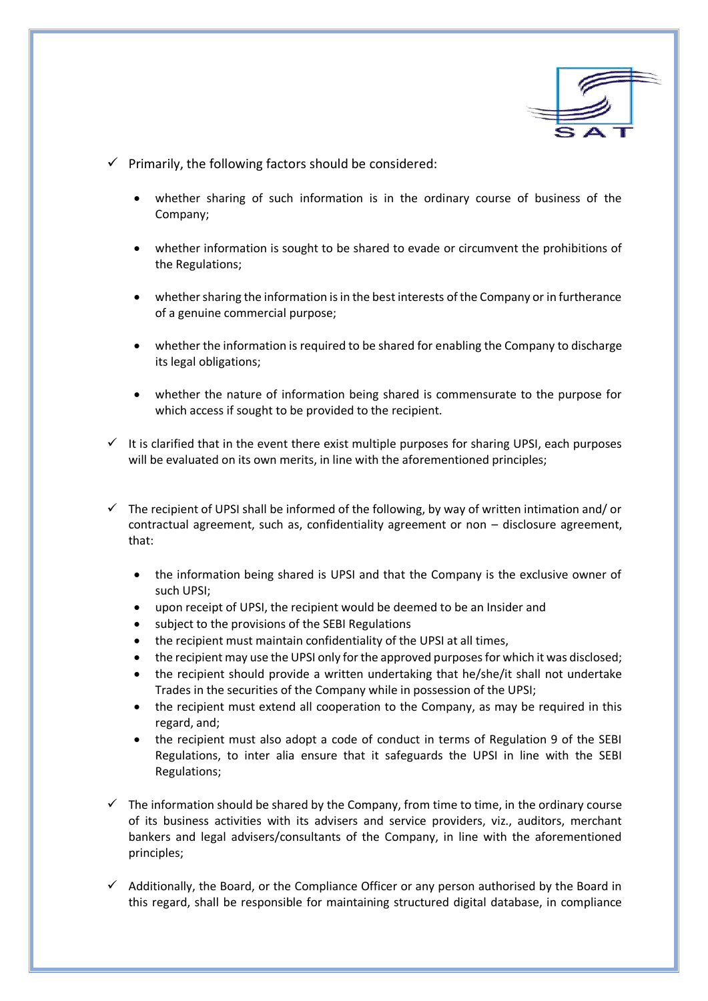

- $\checkmark$  Primarily, the following factors should be considered:
	- whether sharing of such information is in the ordinary course of business of the Company;
	- whether information is sought to be shared to evade or circumvent the prohibitions of the Regulations;
	- whether sharing the information is in the best interests of the Company or in furtherance of a genuine commercial purpose;
	- whether the information is required to be shared for enabling the Company to discharge its legal obligations;
	- whether the nature of information being shared is commensurate to the purpose for which access if sought to be provided to the recipient.
- $\checkmark$  It is clarified that in the event there exist multiple purposes for sharing UPSI, each purposes will be evaluated on its own merits, in line with the aforementioned principles;
- $\checkmark$  The recipient of UPSI shall be informed of the following, by way of written intimation and/ or contractual agreement, such as, confidentiality agreement or non – disclosure agreement, that:
	- the information being shared is UPSI and that the Company is the exclusive owner of such UPSI;
	- upon receipt of UPSI, the recipient would be deemed to be an Insider and
	- subject to the provisions of the SEBI Regulations
	- the recipient must maintain confidentiality of the UPSI at all times,
	- the recipient may use the UPSI only for the approved purposes for which it was disclosed;
	- the recipient should provide a written undertaking that he/she/it shall not undertake Trades in the securities of the Company while in possession of the UPSI;
	- the recipient must extend all cooperation to the Company, as may be required in this regard, and;
	- the recipient must also adopt a code of conduct in terms of Regulation 9 of the SEBI Regulations, to inter alia ensure that it safeguards the UPSI in line with the SEBI Regulations;
- $\checkmark$  The information should be shared by the Company, from time to time, in the ordinary course of its business activities with its advisers and service providers, viz., auditors, merchant bankers and legal advisers/consultants of the Company, in line with the aforementioned principles;
- $\checkmark$  Additionally, the Board, or the Compliance Officer or any person authorised by the Board in this regard, shall be responsible for maintaining structured digital database, in compliance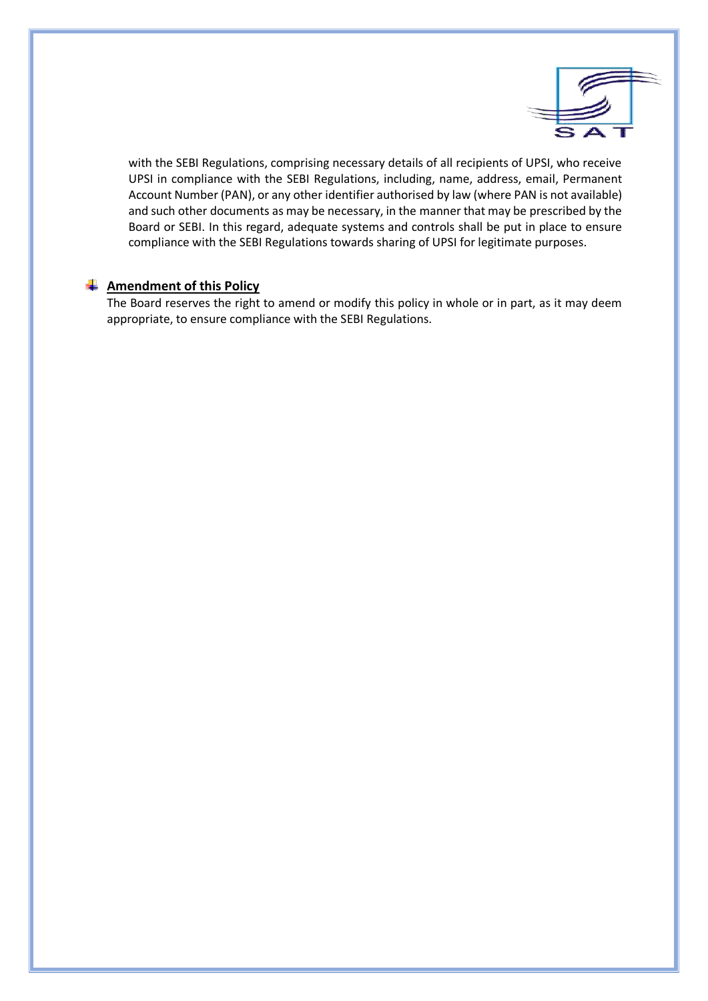

with the SEBI Regulations, comprising necessary details of all recipients of UPSI, who receive UPSI in compliance with the SEBI Regulations, including, name, address, email, Permanent Account Number (PAN), or any other identifier authorised by law (where PAN is not available) and such other documents as may be necessary, in the manner that may be prescribed by the Board or SEBI. In this regard, adequate systems and controls shall be put in place to ensure compliance with the SEBI Regulations towards sharing of UPSI for legitimate purposes.

## **Amendment of this Policy**

The Board reserves the right to amend or modify this policy in whole or in part, as it may deem appropriate, to ensure compliance with the SEBI Regulations.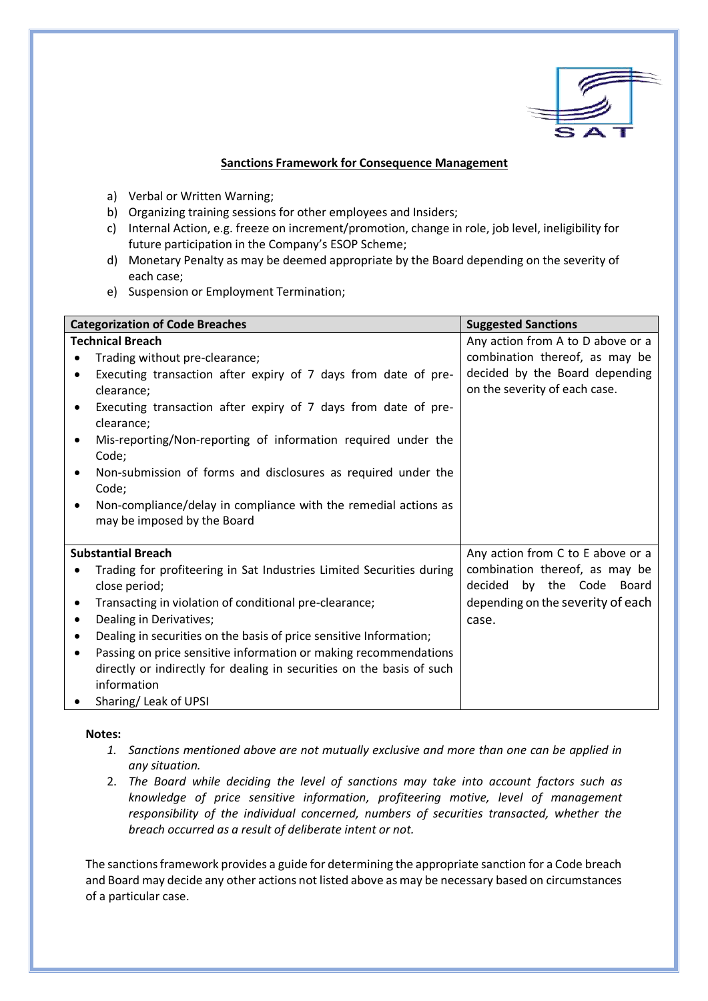

## **Sanctions Framework for Consequence Management**

- a) Verbal or Written Warning;
- b) Organizing training sessions for other employees and Insiders;
- c) Internal Action, e.g. freeze on increment/promotion, change in role, job level, ineligibility for future participation in the Company's ESOP Scheme;
- d) Monetary Penalty as may be deemed appropriate by the Board depending on the severity of each case;
- e) Suspension or Employment Termination;

| <b>Categorization of Code Breaches</b>                                                         | <b>Suggested Sanctions</b>                                      |
|------------------------------------------------------------------------------------------------|-----------------------------------------------------------------|
| <b>Technical Breach</b>                                                                        | Any action from A to D above or a                               |
| Trading without pre-clearance;<br>$\bullet$                                                    | combination thereof, as may be                                  |
| Executing transaction after expiry of 7 days from date of pre-<br>٠<br>clearance:              | decided by the Board depending<br>on the severity of each case. |
| Executing transaction after expiry of 7 days from date of pre-<br>$\bullet$<br>clearance;      |                                                                 |
| Mis-reporting/Non-reporting of information required under the<br>$\bullet$<br>Code;            |                                                                 |
| Non-submission of forms and disclosures as required under the<br>Code;                         |                                                                 |
| Non-compliance/delay in compliance with the remedial actions as<br>may be imposed by the Board |                                                                 |
| <b>Substantial Breach</b>                                                                      | Any action from C to E above or a                               |
| Trading for profiteering in Sat Industries Limited Securities during<br>close period;          | combination thereof, as may be<br>decided by the Code Board     |
| Transacting in violation of conditional pre-clearance;<br>٠                                    | depending on the severity of each                               |
| Dealing in Derivatives;<br>$\bullet$                                                           | case.                                                           |
| Dealing in securities on the basis of price sensitive Information;<br>٠                        |                                                                 |
| Passing on price sensitive information or making recommendations<br>$\bullet$                  |                                                                 |
| directly or indirectly for dealing in securities on the basis of such                          |                                                                 |
| information                                                                                    |                                                                 |
| Sharing/Leak of UPSI                                                                           |                                                                 |

## **Notes:**

- *1. Sanctions mentioned above are not mutually exclusive and more than one can be applied in any situation.*
- 2. *The Board while deciding the level of sanctions may take into account factors such as knowledge of price sensitive information, profiteering motive, level of management responsibility of the individual concerned, numbers of securities transacted, whether the breach occurred as a result of deliberate intent or not.*

The sanctions framework provides a guide for determining the appropriate sanction for a Code breach and Board may decide any other actions not listed above as may be necessary based on circumstances of a particular case.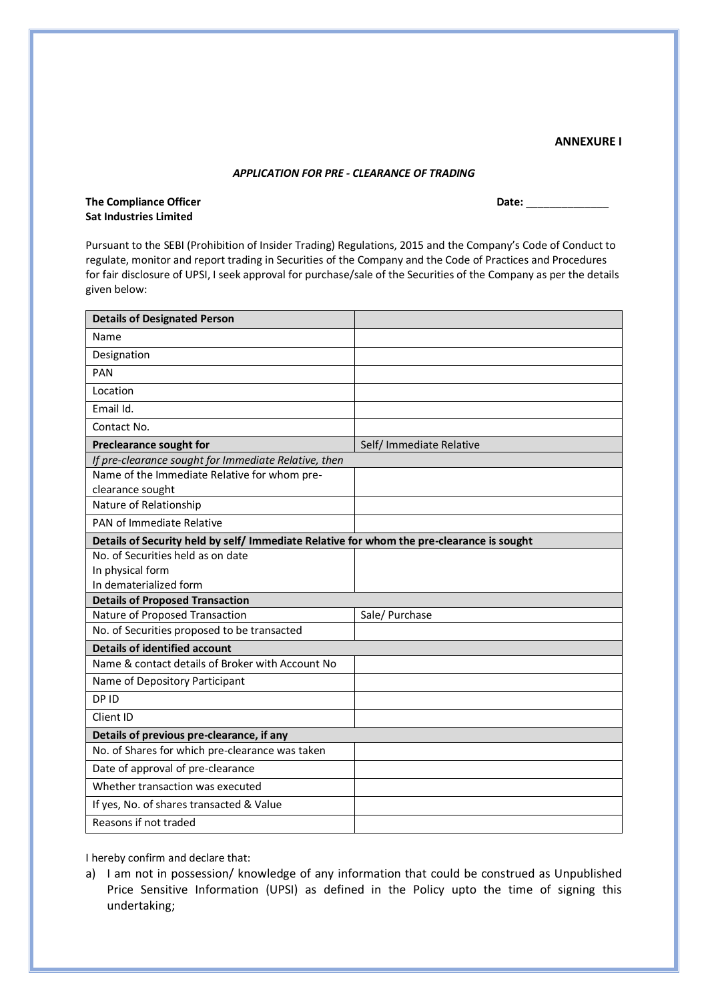#### **ANNEXURE I**

#### *APPLICATION FOR PRE - CLEARANCE OF TRADING*

The Compliance Officer **Date: Date: Date: Date: Date: Date: Date: Date: Date: Date: Date: Date: Date: Date: Date: Date: Date: Date: Date: Date: Date: Date: Date: Date: Date: Sat Industries Limited**

Pursuant to the SEBI (Prohibition of Insider Trading) Regulations, 2015 and the Company's Code of Conduct to regulate, monitor and report trading in Securities of the Company and the Code of Practices and Procedures for fair disclosure of UPSI, I seek approval for purchase/sale of the Securities of the Company as per the details given below:

| <b>Details of Designated Person</b>                                                       |                          |
|-------------------------------------------------------------------------------------------|--------------------------|
| Name                                                                                      |                          |
| Designation                                                                               |                          |
| PAN                                                                                       |                          |
| Location                                                                                  |                          |
| Email Id.                                                                                 |                          |
| Contact No.                                                                               |                          |
| <b>Preclearance sought for</b>                                                            | Self/ Immediate Relative |
| If pre-clearance sought for Immediate Relative, then                                      |                          |
| Name of the Immediate Relative for whom pre-<br>clearance sought                          |                          |
| Nature of Relationship                                                                    |                          |
| PAN of Immediate Relative                                                                 |                          |
| Details of Security held by self/ Immediate Relative for whom the pre-clearance is sought |                          |
| No. of Securities held as on date                                                         |                          |
| In physical form                                                                          |                          |
| In dematerialized form                                                                    |                          |
| <b>Details of Proposed Transaction</b>                                                    |                          |
| Nature of Proposed Transaction                                                            | Sale/ Purchase           |
| No. of Securities proposed to be transacted                                               |                          |
| <b>Details of identified account</b>                                                      |                          |
| Name & contact details of Broker with Account No                                          |                          |
| Name of Depository Participant                                                            |                          |
| DP ID                                                                                     |                          |
| Client ID                                                                                 |                          |
| Details of previous pre-clearance, if any                                                 |                          |
| No. of Shares for which pre-clearance was taken                                           |                          |
| Date of approval of pre-clearance                                                         |                          |
| Whether transaction was executed                                                          |                          |
| If yes, No. of shares transacted & Value                                                  |                          |
| Reasons if not traded                                                                     |                          |

I hereby confirm and declare that:

a) I am not in possession/ knowledge of any information that could be construed as Unpublished Price Sensitive Information (UPSI) as defined in the Policy upto the time of signing this undertaking;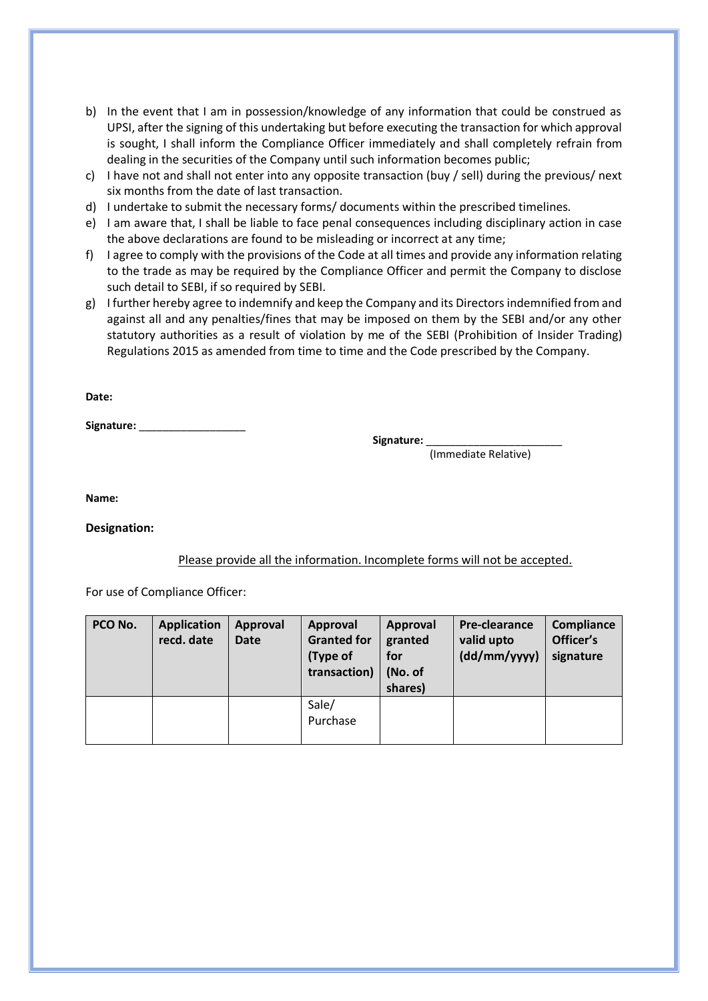- b) In the event that I am in possession/knowledge of any information that could be construed as UPSI, after the signing of this undertaking but before executing the transaction for which approval is sought, I shall inform the Compliance Officer immediately and shall completely refrain from dealing in the securities of the Company until such information becomes public;
- c) I have not and shall not enter into any opposite transaction (buy / sell) during the previous/ next six months from the date of last transaction.
- d) I undertake to submit the necessary forms/ documents within the prescribed timelines.
- e) I am aware that, I shall be liable to face penal consequences including disciplinary action in case the above declarations are found to be misleading or incorrect at any time;
- f) I agree to comply with the provisions of the Code at all times and provide any information relating to the trade as may be required by the Compliance Officer and permit the Company to disclose such detail to SEBI, if so required by SEBI.
- g) I further hereby agree to indemnify and keep the Company and its Directors indemnified from and against all and any penalties/fines that may be imposed on them by the SEBI and/or any other statutory authorities as a result of violation by me of the SEBI (Prohibition of Insider Trading) Regulations 2015 as amended from time to time and the Code prescribed by the Company.

**Date:**

**Signature:** \_\_\_\_\_\_\_\_\_\_\_\_\_\_\_\_\_\_

Signature: \_

(Immediate Relative)

**Name:**

**Designation:**

## Please provide all the information. Incomplete forms will not be accepted.

For use of Compliance Officer:

| PCO No. | <b>Application</b><br>recd. date | Approval<br><b>Date</b> | Approval<br><b>Granted for</b><br>(Type of<br>transaction) | Approval<br>granted<br>for<br>(No. of<br>shares) | <b>Pre-clearance</b><br>valid upto<br>(dd/mm/yyyy) | Compliance<br>Officer's<br>signature |
|---------|----------------------------------|-------------------------|------------------------------------------------------------|--------------------------------------------------|----------------------------------------------------|--------------------------------------|
|         |                                  |                         | Sale/<br>Purchase                                          |                                                  |                                                    |                                      |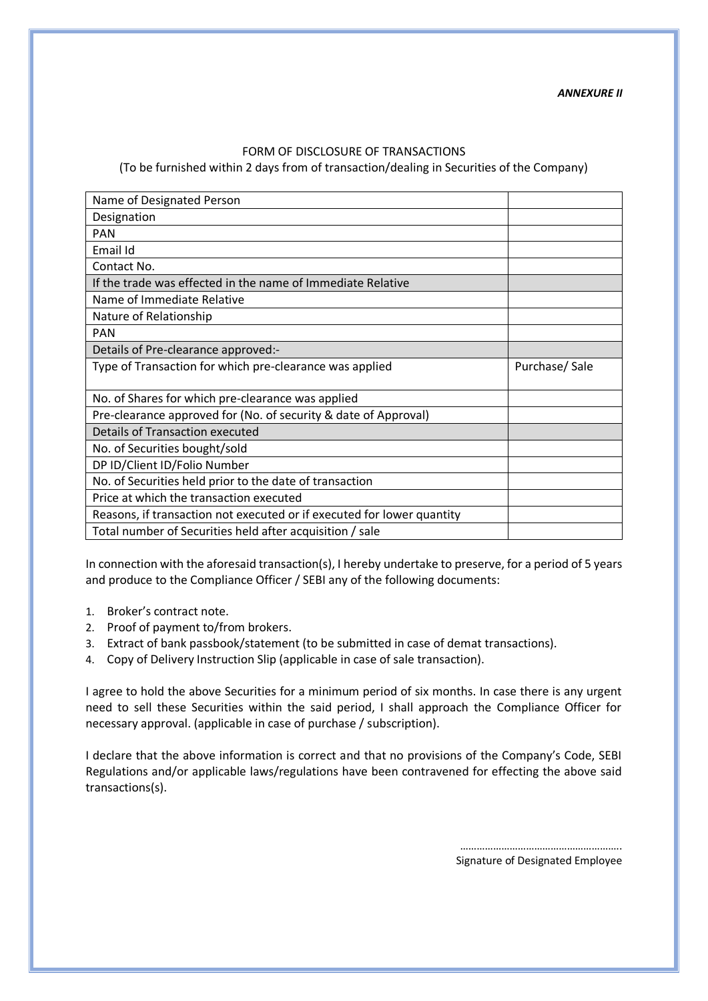*ANNEXURE II*

#### FORM OF DISCLOSURE OF TRANSACTIONS

(To be furnished within 2 days from of transaction/dealing in Securities of the Company)

| Name of Designated Person                                              |               |
|------------------------------------------------------------------------|---------------|
| Designation                                                            |               |
| <b>PAN</b>                                                             |               |
| Email Id                                                               |               |
| Contact No.                                                            |               |
| If the trade was effected in the name of Immediate Relative            |               |
| Name of Immediate Relative                                             |               |
| Nature of Relationship                                                 |               |
| <b>PAN</b>                                                             |               |
| Details of Pre-clearance approved:-                                    |               |
| Type of Transaction for which pre-clearance was applied                | Purchase/Sale |
| No. of Shares for which pre-clearance was applied                      |               |
| Pre-clearance approved for (No. of security & date of Approval)        |               |
| Details of Transaction executed                                        |               |
| No. of Securities bought/sold                                          |               |
| DP ID/Client ID/Folio Number                                           |               |
| No. of Securities held prior to the date of transaction                |               |
| Price at which the transaction executed                                |               |
| Reasons, if transaction not executed or if executed for lower quantity |               |
| Total number of Securities held after acquisition / sale               |               |

In connection with the aforesaid transaction(s), I hereby undertake to preserve, for a period of 5 years and produce to the Compliance Officer / SEBI any of the following documents:

- 1. Broker's contract note.
- 2. Proof of payment to/from brokers.
- 3. Extract of bank passbook/statement (to be submitted in case of demat transactions).
- 4. Copy of Delivery Instruction Slip (applicable in case of sale transaction).

I agree to hold the above Securities for a minimum period of six months. In case there is any urgent need to sell these Securities within the said period, I shall approach the Compliance Officer for necessary approval. (applicable in case of purchase / subscription).

I declare that the above information is correct and that no provisions of the Company's Code, SEBI Regulations and/or applicable laws/regulations have been contravened for effecting the above said transactions(s).

> ………………………………………………….. Signature of Designated Employee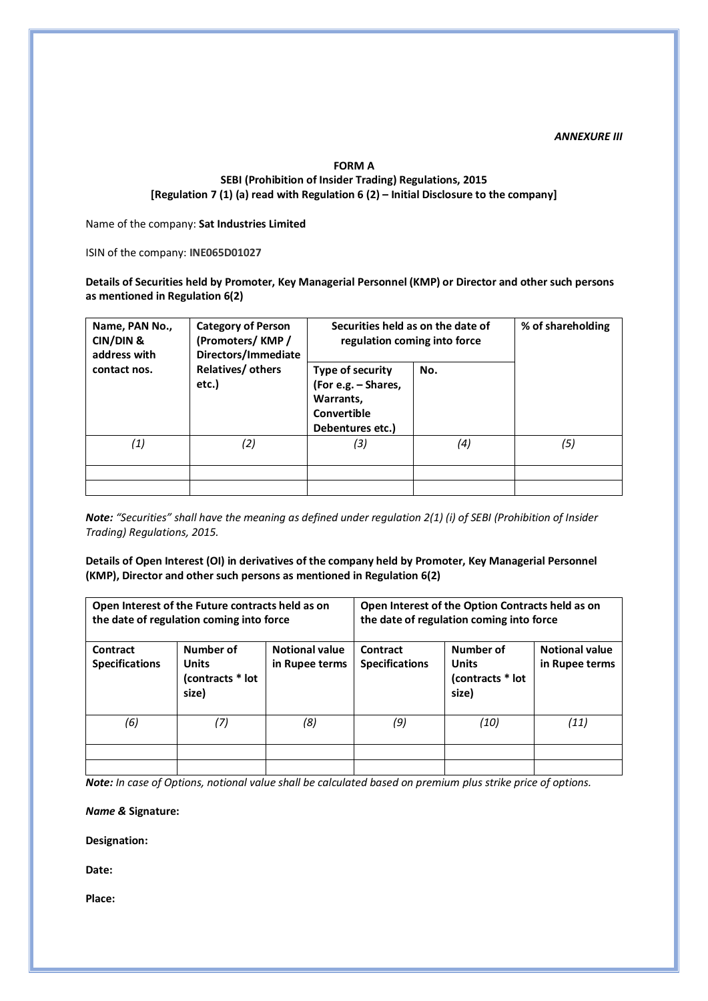#### *ANNEXURE III*

## **FORM A SEBI (Prohibition of Insider Trading) Regulations, 2015 [Regulation 7 (1) (a) read with Regulation 6 (2) – Initial Disclosure to the company]**

Name of the company: **Sat Industries Limited**

ISIN of the company: **INE065D01027**

**Details of Securities held by Promoter, Key Managerial Personnel (KMP) or Director and other such persons as mentioned in Regulation 6(2)**

| Name, PAN No.,<br>CIN/DIN &<br>address with | <b>Category of Person</b><br>(Promoters/KMP/<br>Directors/Immediate | Securities held as on the date of<br>regulation coming into force                       | % of shareholding |     |
|---------------------------------------------|---------------------------------------------------------------------|-----------------------------------------------------------------------------------------|-------------------|-----|
| contact nos.                                | Relatives/ others<br>etc.)                                          | Type of security<br>(For e.g. - Shares,<br>Warrants,<br>Convertible<br>Debentures etc.) | No.               |     |
| $\left( 1\right)$                           | (2)                                                                 | (3)                                                                                     | (4)               | (5) |
|                                             |                                                                     |                                                                                         |                   |     |
|                                             |                                                                     |                                                                                         |                   |     |

*Note: "Securities" shall have the meaning as defined under regulation 2(1) (i) of SEBI (Prohibition of Insider Trading) Regulations, 2015.*

**Details of Open Interest (OI) in derivatives of the company held by Promoter, Key Managerial Personnel (KMP), Director and other such persons as mentioned in Regulation 6(2)**

|                                                                                             | Open Interest of the Future contracts held as on<br>the date of regulation coming into force |                                         | Open Interest of the Option Contracts held as on<br>the date of regulation coming into force |                                                                                                   |      |  |
|---------------------------------------------------------------------------------------------|----------------------------------------------------------------------------------------------|-----------------------------------------|----------------------------------------------------------------------------------------------|---------------------------------------------------------------------------------------------------|------|--|
| Number of<br>Contract<br><b>Specifications</b><br><b>Units</b><br>(contracts * lot<br>size) |                                                                                              | <b>Notional value</b><br>in Rupee terms | Contract<br><b>Specifications</b>                                                            | Number of<br><b>Notional value</b><br><b>Units</b><br>in Rupee terms<br>(contracts * lot<br>size) |      |  |
| (6)                                                                                         | (7)                                                                                          | (8)                                     | (9)                                                                                          | (10)                                                                                              | (11) |  |
|                                                                                             |                                                                                              |                                         |                                                                                              |                                                                                                   |      |  |
|                                                                                             |                                                                                              |                                         |                                                                                              |                                                                                                   |      |  |

*Note: In case of Options, notional value shall be calculated based on premium plus strike price of options.*

*Name &* **Signature:**

**Designation:**

**Date:**

**Place:**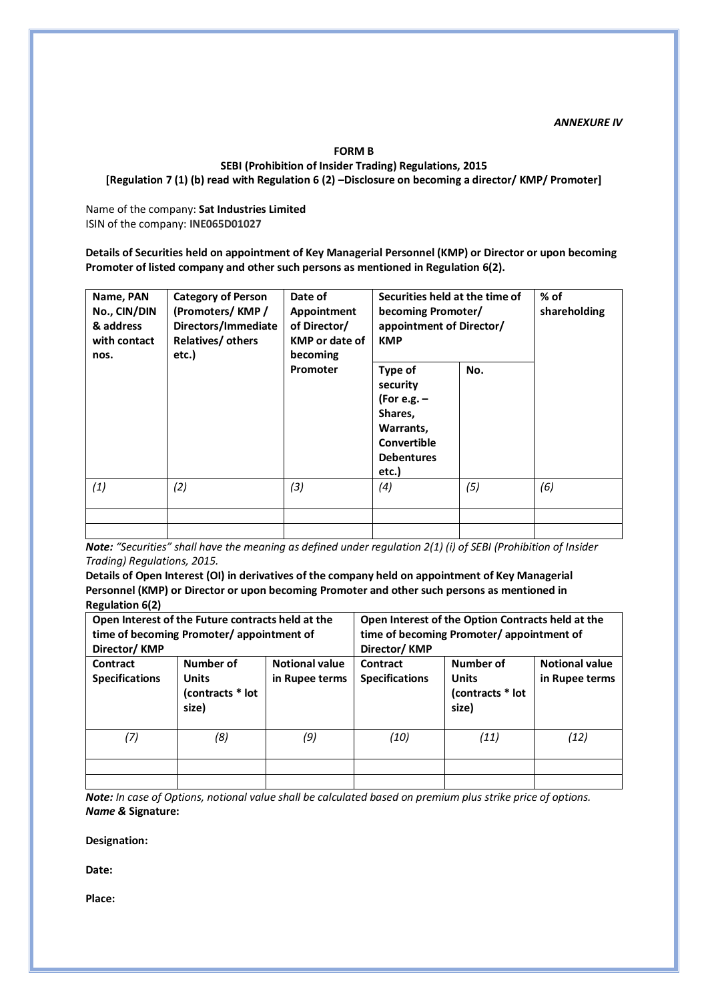*ANNEXURE IV*

#### **FORM B**

#### **SEBI (Prohibition of Insider Trading) Regulations, 2015 [Regulation 7 (1) (b) read with Regulation 6 (2) –Disclosure on becoming a director/ KMP/ Promoter]**

Name of the company: **Sat Industries Limited** ISIN of the company: **INE065D01027**

**Details of Securities held on appointment of Key Managerial Personnel (KMP) or Director or upon becoming Promoter of listed company and other such persons as mentioned in Regulation 6(2).**

| Name, PAN<br>No., CIN/DIN<br>& address<br>with contact<br>nos. | <b>Category of Person</b><br>(Promoters/KMP/<br>Directors/Immediate<br>Relatives/ others<br>etc.) | Date of<br>Appointment<br>of Director/<br><b>KMP</b> or date of<br>becoming | Securities held at the time of<br>becoming Promoter/<br>appointment of Director/<br><b>KMP</b>            | $%$ of<br>shareholding |     |
|----------------------------------------------------------------|---------------------------------------------------------------------------------------------------|-----------------------------------------------------------------------------|-----------------------------------------------------------------------------------------------------------|------------------------|-----|
|                                                                |                                                                                                   | Promoter                                                                    | Type of<br>security<br>(For e.g. $-$<br>Shares,<br>Warrants,<br>Convertible<br><b>Debentures</b><br>etc.) | No.                    |     |
| (1)                                                            | (2)                                                                                               | (3)                                                                         | (4)                                                                                                       | (5)                    | (6) |
|                                                                |                                                                                                   |                                                                             |                                                                                                           |                        |     |

*Note: "Securities" shall have the meaning as defined under regulation 2(1) (i) of SEBI (Prohibition of Insider Trading) Regulations, 2015.*

**Details of Open Interest (OI) in derivatives of the company held on appointment of Key Managerial Personnel (KMP) or Director or upon becoming Promoter and other such persons as mentioned in Regulation 6(2)**

| Director/KMP                      | Open Interest of the Future contracts held at the<br>time of becoming Promoter/appointment of |                                         | Open Interest of the Option Contracts held at the<br>time of becoming Promoter/appointment of<br>Director/KMP |                                         |      |  |
|-----------------------------------|-----------------------------------------------------------------------------------------------|-----------------------------------------|---------------------------------------------------------------------------------------------------------------|-----------------------------------------|------|--|
| Contract<br><b>Specifications</b> | Number of<br><b>Units</b><br>(contracts * lot<br>size)                                        | <b>Notional value</b><br>in Rupee terms | Contract<br><b>Specifications</b>                                                                             | <b>Notional value</b><br>in Rupee terms |      |  |
| (7)                               | (8)                                                                                           | (9)                                     | (10)                                                                                                          | (11)                                    | (12) |  |
|                                   |                                                                                               |                                         |                                                                                                               |                                         |      |  |
|                                   |                                                                                               |                                         |                                                                                                               |                                         |      |  |

*Note: In case of Options, notional value shall be calculated based on premium plus strike price of options. Name &* **Signature:**

**Designation:** 

**Date:**

**Place:**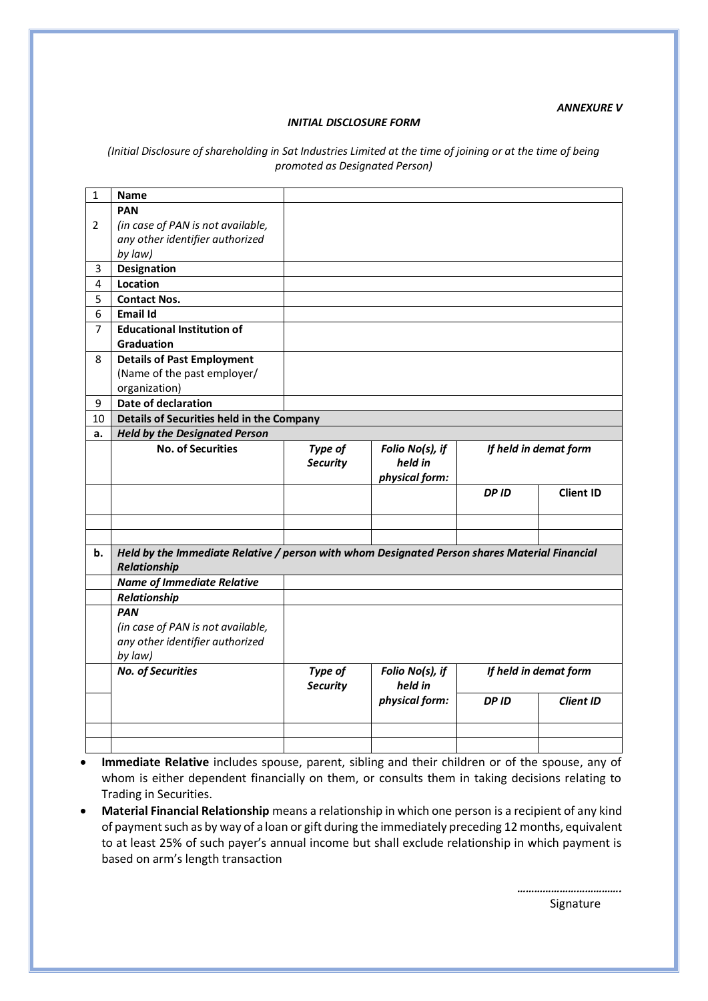#### *ANNEXURE V*

#### *INITIAL DISCLOSURE FORM*

#### *(Initial Disclosure of shareholding in Sat Industries Limited at the time of joining or at the time of being promoted as Designated Person)*

| $\mathbf{1}$ | <b>Name</b>                                                                                   |                            |                            |                       |                  |  |  |  |  |
|--------------|-----------------------------------------------------------------------------------------------|----------------------------|----------------------------|-----------------------|------------------|--|--|--|--|
|              | <b>PAN</b>                                                                                    |                            |                            |                       |                  |  |  |  |  |
| 2            | (in case of PAN is not available,                                                             |                            |                            |                       |                  |  |  |  |  |
|              | any other identifier authorized                                                               |                            |                            |                       |                  |  |  |  |  |
|              | by law)                                                                                       |                            |                            |                       |                  |  |  |  |  |
| 3            | <b>Designation</b>                                                                            |                            |                            |                       |                  |  |  |  |  |
| 4            | Location                                                                                      |                            |                            |                       |                  |  |  |  |  |
| 5            | <b>Contact Nos.</b>                                                                           |                            |                            |                       |                  |  |  |  |  |
| 6            | <b>Email Id</b>                                                                               |                            |                            |                       |                  |  |  |  |  |
| 7            | <b>Educational Institution of</b>                                                             |                            |                            |                       |                  |  |  |  |  |
|              | Graduation                                                                                    |                            |                            |                       |                  |  |  |  |  |
| 8            | <b>Details of Past Employment</b>                                                             |                            |                            |                       |                  |  |  |  |  |
|              | (Name of the past employer/                                                                   |                            |                            |                       |                  |  |  |  |  |
|              | organization)                                                                                 |                            |                            |                       |                  |  |  |  |  |
| 9            | <b>Date of declaration</b>                                                                    |                            |                            |                       |                  |  |  |  |  |
| 10           | Details of Securities held in the Company                                                     |                            |                            |                       |                  |  |  |  |  |
| a.           | <b>Held by the Designated Person</b>                                                          |                            |                            |                       |                  |  |  |  |  |
|              | <b>No. of Securities</b>                                                                      | Type of                    | Folio No(s), if            | If held in demat form |                  |  |  |  |  |
|              |                                                                                               | <b>Security</b>            | held in                    |                       |                  |  |  |  |  |
|              |                                                                                               |                            | physical form:             |                       |                  |  |  |  |  |
|              |                                                                                               |                            |                            | <b>DPID</b>           | <b>Client ID</b> |  |  |  |  |
|              |                                                                                               |                            |                            |                       |                  |  |  |  |  |
|              |                                                                                               |                            |                            |                       |                  |  |  |  |  |
|              |                                                                                               |                            |                            |                       |                  |  |  |  |  |
| b.           | Held by the Immediate Relative / person with whom Designated Person shares Material Financial |                            |                            |                       |                  |  |  |  |  |
|              | Relationship                                                                                  |                            |                            |                       |                  |  |  |  |  |
|              | <b>Name of Immediate Relative</b>                                                             |                            |                            |                       |                  |  |  |  |  |
|              | Relationship                                                                                  |                            |                            |                       |                  |  |  |  |  |
|              | <b>PAN</b>                                                                                    |                            |                            |                       |                  |  |  |  |  |
|              | (in case of PAN is not available,                                                             |                            |                            |                       |                  |  |  |  |  |
|              | any other identifier authorized                                                               |                            |                            |                       |                  |  |  |  |  |
|              | by law)                                                                                       |                            |                            |                       |                  |  |  |  |  |
|              | <b>No. of Securities</b>                                                                      | Type of<br><b>Security</b> | Folio No(s), if<br>held in | If held in demat form |                  |  |  |  |  |
|              |                                                                                               |                            | physical form:             | <b>DPID</b>           | <b>Client ID</b> |  |  |  |  |
|              |                                                                                               |                            |                            |                       |                  |  |  |  |  |
|              |                                                                                               |                            |                            |                       |                  |  |  |  |  |
|              |                                                                                               |                            |                            |                       |                  |  |  |  |  |

- **Immediate Relative** includes spouse, parent, sibling and their children or of the spouse, any of whom is either dependent financially on them, or consults them in taking decisions relating to Trading in Securities.
- **Material Financial Relationship** means a relationship in which one person is a recipient of any kind of payment such as by way of a loan or gift during the immediately preceding 12 months, equivalent to at least 25% of such payer's annual income but shall exclude relationship in which payment is based on arm's length transaction

*……………………………….* en de la seu de la construction de la construction de la seu de la construction de la construction de la const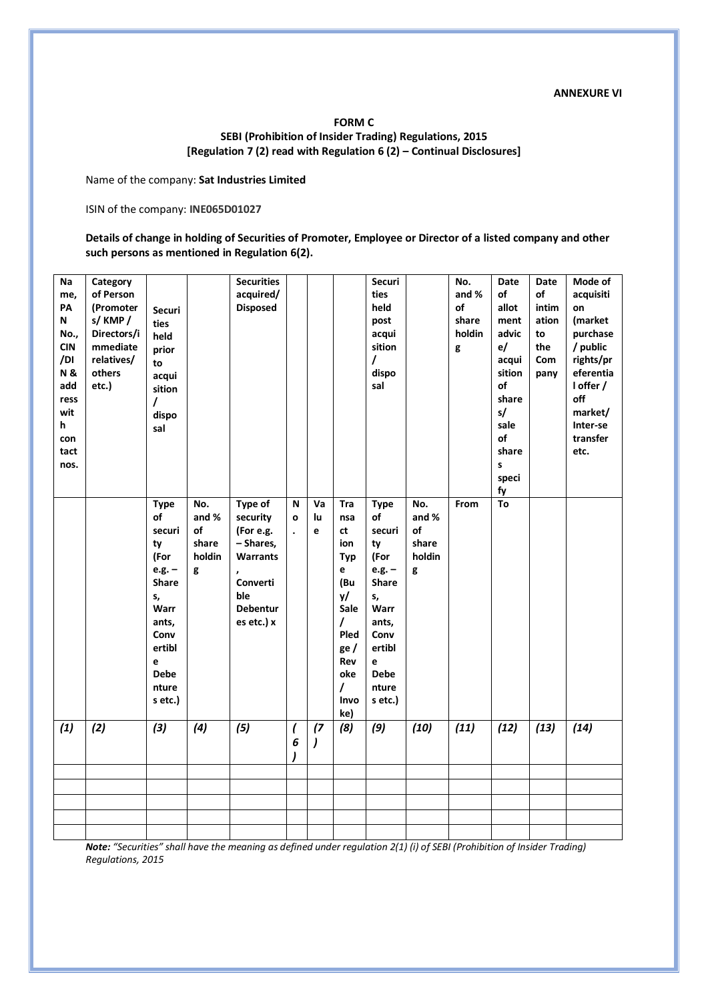#### **FORM C SEBI (Prohibition of Insider Trading) Regulations, 2015 [Regulation 7 (2) read with Regulation 6 (2) – Continual Disclosures]**

Name of the company: **Sat Industries Limited**

ISIN of the company: **INE065D01027**

**Details of change in holding of Securities of Promoter, Employee or Director of a listed company and other such persons as mentioned in Regulation 6(2).**

| <b>Na</b>     | Category    |               |        | <b>Securities</b> |                          |     |             | Securi       |        | No.    | <b>Date</b> | Date  | Mode of   |
|---------------|-------------|---------------|--------|-------------------|--------------------------|-----|-------------|--------------|--------|--------|-------------|-------|-----------|
| me,           | of Person   |               |        | acquired/         |                          |     |             | ties         |        | and %  | of          | of    | acquisiti |
| PA            | (Promoter   | <b>Securi</b> |        | <b>Disposed</b>   |                          |     |             | held         |        | of     | allot       | intim | on        |
| N             | s/KMP/      | ties          |        |                   |                          |     |             | post         |        | share  | ment        | ation | (market   |
| No.,          | Directors/i | held          |        |                   |                          |     |             | acqui        |        | holdin | advic       | to    | purchase  |
| <b>CIN</b>    | mmediate    | prior         |        |                   |                          |     |             | sition       |        | g      | e/          | the   | / public  |
| /DI           | relatives/  | to            |        |                   |                          |     |             | $\prime$     |        |        | acqui       | Com   | rights/pr |
| <b>N&amp;</b> | others      | acqui         |        |                   |                          |     |             | dispo        |        |        | sition      | pany  | eferentia |
| add           | etc.)       | sition        |        |                   |                          |     |             | sal          |        |        | of          |       | I offer / |
| ress          |             |               |        |                   |                          |     |             |              |        |        | share       |       | off       |
| wit           |             | $\prime$      |        |                   |                          |     |             |              |        |        | s/          |       | market/   |
|               |             | dispo         |        |                   |                          |     |             |              |        |        |             |       | Inter-se  |
| h             |             | sal           |        |                   |                          |     |             |              |        |        | sale<br>of  |       | transfer  |
| con           |             |               |        |                   |                          |     |             |              |        |        |             |       |           |
| tact          |             |               |        |                   |                          |     |             |              |        |        | share       |       | etc.      |
| nos.          |             |               |        |                   |                          |     |             |              |        |        | s           |       |           |
|               |             |               |        |                   |                          |     |             |              |        |        | speci       |       |           |
|               |             |               |        |                   |                          |     |             |              |        |        | fy          |       |           |
|               |             | <b>Type</b>   | No.    | <b>Type of</b>    | N                        | Va  | Tra         | <b>Type</b>  | No.    | From   | To          |       |           |
|               |             | of            | and %  | security          | $\mathbf{o}$             | lu. | nsa         | of           | and %  |        |             |       |           |
|               |             | securi        | of     | (For e.g.         | $\ddot{\phantom{0}}$     | e   | ct          | securi       | of     |        |             |       |           |
|               |             | ty            | share  | - Shares,         |                          |     | ion         | ty           | share  |        |             |       |           |
|               |             | (For          | holdin | <b>Warrants</b>   |                          |     | <b>Typ</b>  | (For         | holdin |        |             |       |           |
|               |             | $e.g. -$      | g      |                   |                          |     | e           | $e.g. -$     | g      |        |             |       |           |
|               |             | <b>Share</b>  |        | Converti          |                          |     | (Bu         | <b>Share</b> |        |        |             |       |           |
|               |             | s,            |        | ble               |                          |     | y/          | s,           |        |        |             |       |           |
|               |             | Warr          |        | Debentur          |                          |     | Sale        | Warr         |        |        |             |       |           |
|               |             |               |        | es etc.) x        |                          |     | $\prime$    | ants,        |        |        |             |       |           |
|               |             | ants,         |        |                   |                          |     |             |              |        |        |             |       |           |
|               |             | Conv          |        |                   |                          |     | <b>Pled</b> | Conv         |        |        |             |       |           |
|               |             | ertibl        |        |                   |                          |     | ge /        | ertibl       |        |        |             |       |           |
|               |             | e             |        |                   |                          |     | Rev         | e            |        |        |             |       |           |
|               |             | <b>Debe</b>   |        |                   |                          |     | oke         | <b>Debe</b>  |        |        |             |       |           |
|               |             | nture         |        |                   |                          |     | $\prime$    | nture        |        |        |             |       |           |
|               |             | s etc.)       |        |                   |                          |     | Invo        | s etc.)      |        |        |             |       |           |
|               |             |               |        |                   |                          |     | ke)         |              |        |        |             |       |           |
| (1)           | (2)         | $(3)$         | (4)    | (5)               | $\overline{\mathcal{L}}$ | (7) | (8)         | (9)          | (10)   | (11)   | (12)        | (13)  | (14)      |
|               |             |               |        |                   | 6                        |     |             |              |        |        |             |       |           |
|               |             |               |        |                   |                          |     |             |              |        |        |             |       |           |
|               |             |               |        |                   |                          |     |             |              |        |        |             |       |           |
|               |             |               |        |                   |                          |     |             |              |        |        |             |       |           |
|               |             |               |        |                   |                          |     |             |              |        |        |             |       |           |
|               |             |               |        |                   |                          |     |             |              |        |        |             |       |           |
|               |             |               |        |                   |                          |     |             |              |        |        |             |       |           |
|               |             |               |        |                   |                          |     |             |              |        |        |             |       |           |

*Note: "Securities" shall have the meaning as defined under regulation 2(1) (i) of SEBI (Prohibition of Insider Trading) Regulations, 2015*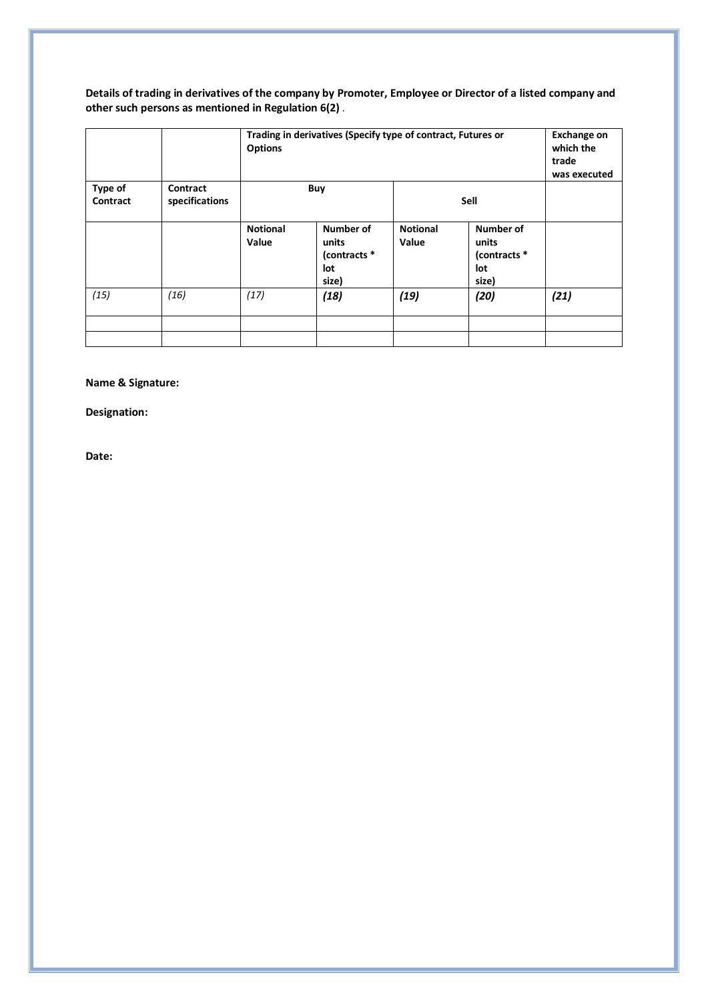**Details of trading in derivatives of the company by Promoter, Employee or Director of a listed company and other such persons as mentioned in Regulation 6(2)** *.*

|                     |                            | Trading in derivatives (Specify type of contract, Futures or<br><b>Options</b> | <b>Exchange on</b><br>which the<br>trade<br>was executed |                          |                                                    |      |
|---------------------|----------------------------|--------------------------------------------------------------------------------|----------------------------------------------------------|--------------------------|----------------------------------------------------|------|
| Type of<br>Contract | Contract<br>specifications |                                                                                | Buy                                                      |                          |                                                    |      |
|                     |                            | <b>Notional</b><br>Value                                                       | Number of<br>units<br>(contracts *<br>lot<br>size)       | <b>Notional</b><br>Value | Number of<br>units<br>(contracts *<br>lot<br>size) |      |
| (15)                | (16)                       | (17)                                                                           | (18)                                                     | (19)                     | (20)                                               | (21) |
|                     |                            |                                                                                |                                                          |                          |                                                    |      |

## **Name & Signature:**

**Designation:**

**Date:**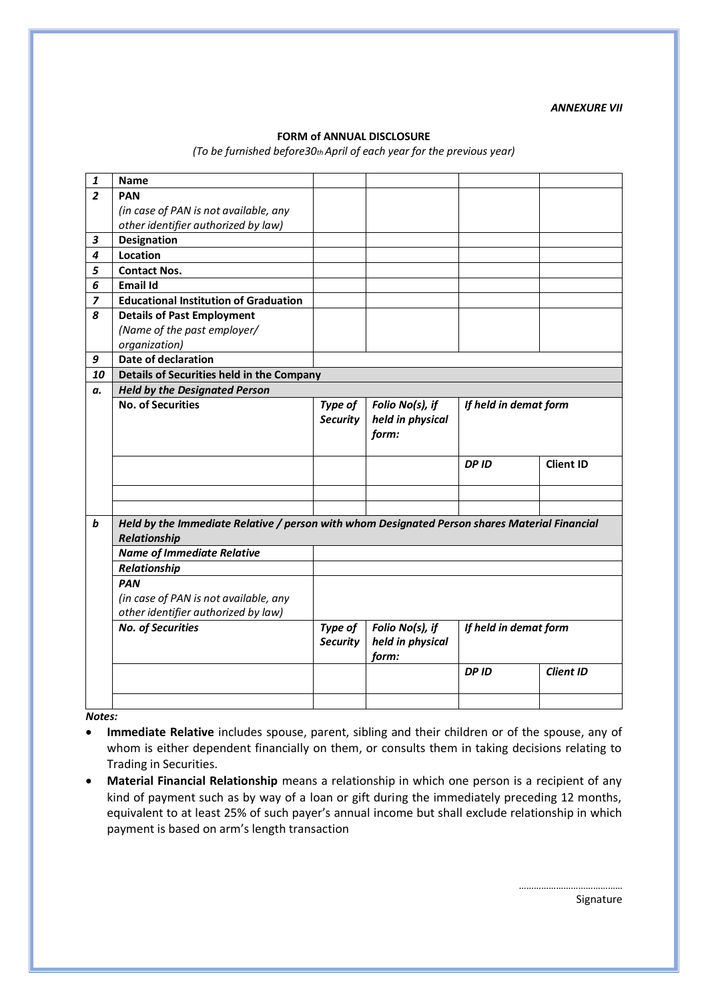*ANNEXURE VII*

#### **FORM of ANNUAL DISCLOSURE**

*(To be furnished before30th April of each year for the previous year)*

| 1              | <b>Name</b>                                                                                   |                 |                  |                       |                  |  |  |  |  |  |
|----------------|-----------------------------------------------------------------------------------------------|-----------------|------------------|-----------------------|------------------|--|--|--|--|--|
| $\overline{2}$ | <b>PAN</b>                                                                                    |                 |                  |                       |                  |  |  |  |  |  |
|                | (in case of PAN is not available, any                                                         |                 |                  |                       |                  |  |  |  |  |  |
|                | other identifier authorized by law)                                                           |                 |                  |                       |                  |  |  |  |  |  |
| 3              | <b>Designation</b>                                                                            |                 |                  |                       |                  |  |  |  |  |  |
| 4              | Location                                                                                      |                 |                  |                       |                  |  |  |  |  |  |
| 5              | <b>Contact Nos.</b>                                                                           |                 |                  |                       |                  |  |  |  |  |  |
| 6              | Email Id                                                                                      |                 |                  |                       |                  |  |  |  |  |  |
| 7              | <b>Educational Institution of Graduation</b>                                                  |                 |                  |                       |                  |  |  |  |  |  |
| 8              | <b>Details of Past Employment</b>                                                             |                 |                  |                       |                  |  |  |  |  |  |
|                | (Name of the past employer/                                                                   |                 |                  |                       |                  |  |  |  |  |  |
|                | organization)                                                                                 |                 |                  |                       |                  |  |  |  |  |  |
| 9              | Date of declaration                                                                           |                 |                  |                       |                  |  |  |  |  |  |
| 10             | Details of Securities held in the Company                                                     |                 |                  |                       |                  |  |  |  |  |  |
| а.             | <b>Held by the Designated Person</b>                                                          |                 |                  |                       |                  |  |  |  |  |  |
|                | <b>No. of Securities</b>                                                                      | Type of         | Folio No(s), if  | If held in demat form |                  |  |  |  |  |  |
|                |                                                                                               | <b>Security</b> | held in physical |                       |                  |  |  |  |  |  |
|                |                                                                                               |                 | form:            |                       |                  |  |  |  |  |  |
|                |                                                                                               |                 |                  |                       |                  |  |  |  |  |  |
|                |                                                                                               |                 |                  | <b>DPID</b>           | <b>Client ID</b> |  |  |  |  |  |
|                |                                                                                               |                 |                  |                       |                  |  |  |  |  |  |
|                |                                                                                               |                 |                  |                       |                  |  |  |  |  |  |
|                |                                                                                               |                 |                  |                       |                  |  |  |  |  |  |
| b              | Held by the Immediate Relative / person with whom Designated Person shares Material Financial |                 |                  |                       |                  |  |  |  |  |  |
|                | Relationship                                                                                  |                 |                  |                       |                  |  |  |  |  |  |
|                | <b>Name of Immediate Relative</b>                                                             |                 |                  |                       |                  |  |  |  |  |  |
|                | Relationship                                                                                  |                 |                  |                       |                  |  |  |  |  |  |
|                | <b>PAN</b>                                                                                    |                 |                  |                       |                  |  |  |  |  |  |
|                | (in case of PAN is not available, any                                                         |                 |                  |                       |                  |  |  |  |  |  |
|                | other identifier authorized by law)                                                           |                 |                  |                       |                  |  |  |  |  |  |
|                | <b>No. of Securities</b>                                                                      | <b>Type of</b>  | Folio No(s), if  | If held in demat form |                  |  |  |  |  |  |
|                |                                                                                               | <b>Security</b> | held in physical |                       |                  |  |  |  |  |  |
|                |                                                                                               |                 | form:            |                       |                  |  |  |  |  |  |
|                |                                                                                               |                 |                  | <b>DPID</b>           | <b>Client ID</b> |  |  |  |  |  |
|                |                                                                                               |                 |                  |                       |                  |  |  |  |  |  |
|                |                                                                                               |                 |                  |                       |                  |  |  |  |  |  |

*Notes:*

- **Immediate Relative** includes spouse, parent, sibling and their children or of the spouse, any of whom is either dependent financially on them, or consults them in taking decisions relating to Trading in Securities.
- **Material Financial Relationship** means a relationship in which one person is a recipient of any kind of payment such as by way of a loan or gift during the immediately preceding 12 months, equivalent to at least 25% of such payer's annual income but shall exclude relationship in which payment is based on arm's length transaction

Signature

……………………………………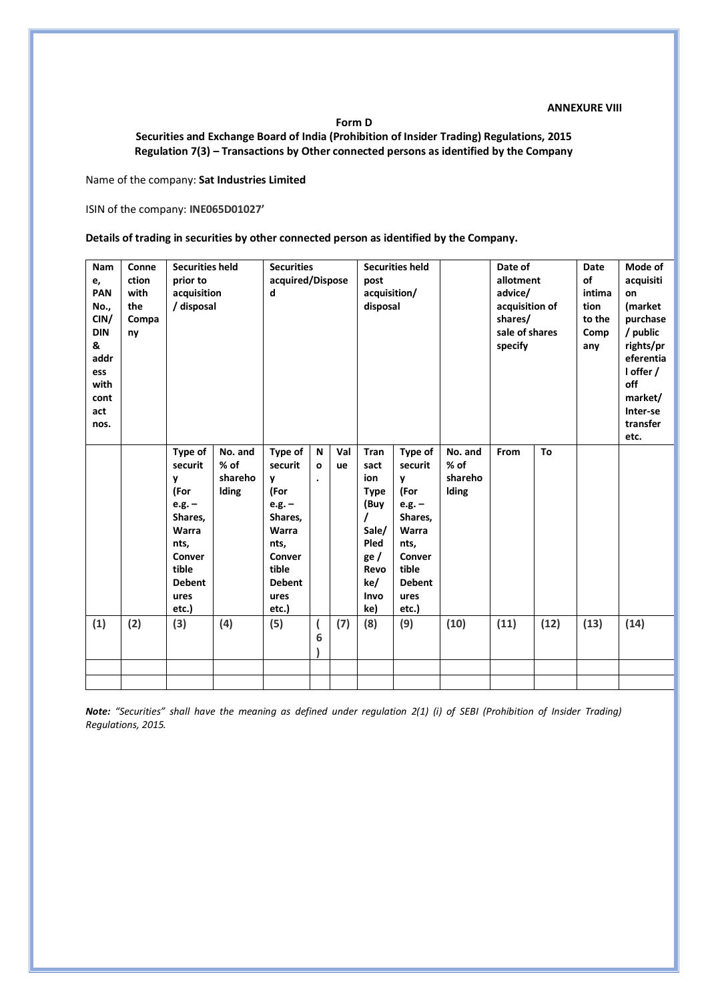#### **ANNEXURE VIII**

**Form D**

#### **Securities and Exchange Board of India (Prohibition of Insider Trading) Regulations, 2015 Regulation 7(3) – Transactions by Other connected persons as identified by the Company**

Name of the company: **Sat Industries Limited**

ISIN of the company: **INE065D01027'**

**Details of trading in securities by other connected person as identified by the Company.**

| <b>Nam</b><br>е,<br>PAN<br>No.,<br>CIN/<br><b>DIN</b><br>&<br>addr<br>ess<br>with<br>cont<br>act<br>nos. | Conne<br>ction<br>with<br>the<br>Compa<br>ny | <b>Securities held</b><br>prior to<br>acquisition<br>/ disposal                                                              |                                       | <b>Securities</b><br>acquired/Dispose<br>d                                                                                   |                   | <b>Securities held</b><br>post<br>acquisition/<br>disposal |                                                                                                   |                                                                                                                              | Date of<br>allotment<br>advice/<br>acquisition of<br>shares/<br>sale of shares<br>specify |      | <b>Date</b><br>of<br>intima<br>tion<br>to the<br>Comp<br>any | Mode of<br>acquisiti<br>on<br>(market<br>purchase<br>/ public<br>rights/pr<br>eferentia<br>I offer /<br>off<br>market/<br>Inter-se<br>transfer<br>etc. |      |
|----------------------------------------------------------------------------------------------------------|----------------------------------------------|------------------------------------------------------------------------------------------------------------------------------|---------------------------------------|------------------------------------------------------------------------------------------------------------------------------|-------------------|------------------------------------------------------------|---------------------------------------------------------------------------------------------------|------------------------------------------------------------------------------------------------------------------------------|-------------------------------------------------------------------------------------------|------|--------------------------------------------------------------|--------------------------------------------------------------------------------------------------------------------------------------------------------|------|
|                                                                                                          |                                              | Type of<br>securit<br>y<br>(For<br>$e.g. -$<br>Shares,<br>Warra<br>nts,<br>Conver<br>tible<br><b>Debent</b><br>ures<br>etc.) | No. and<br>$%$ of<br>shareho<br>Iding | Type of<br>securit<br>y<br>(For<br>$e.g. -$<br>Shares,<br>Warra<br>nts,<br>Conver<br>tible<br><b>Debent</b><br>ures<br>etc.) | N<br>$\mathbf{o}$ | Val<br>ue                                                  | Tran<br>sact<br>ion<br><b>Type</b><br>(Buy<br>Sale/<br>Pled<br>ge /<br>Revo<br>ke/<br>Invo<br>ke) | Type of<br>securit<br>y<br>(For<br>$e.g. -$<br>Shares,<br>Warra<br>nts,<br>Conver<br>tible<br><b>Debent</b><br>ures<br>etc.) | No. and<br>$%$ of<br>shareho<br>Iding                                                     | From | To                                                           |                                                                                                                                                        |      |
| (1)                                                                                                      | (2)                                          | (3)                                                                                                                          | (4)                                   | (5)                                                                                                                          | 6                 | (7)                                                        | (8)                                                                                               | (9)                                                                                                                          | (10)                                                                                      | (11) | (12)                                                         | (13)                                                                                                                                                   | (14) |
|                                                                                                          |                                              |                                                                                                                              |                                       |                                                                                                                              |                   |                                                            |                                                                                                   |                                                                                                                              |                                                                                           |      |                                                              |                                                                                                                                                        |      |

*Note: "Securities" shall have the meaning as defined under regulation 2(1) (i) of SEBI (Prohibition of Insider Trading) Regulations, 2015.*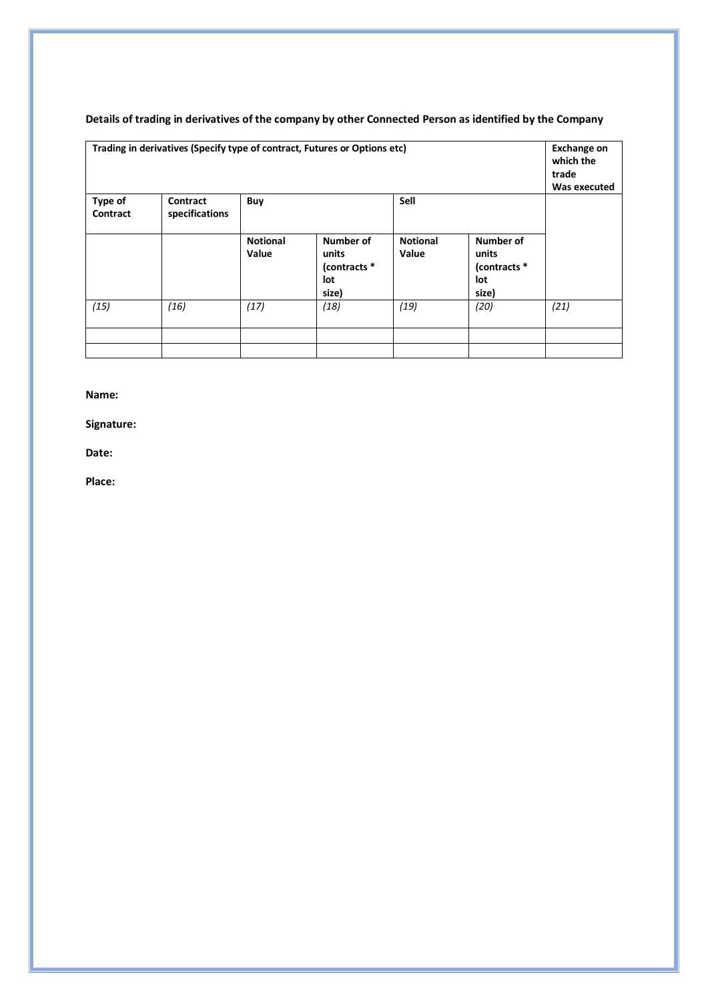| <b>Type of</b><br>Contract | Trading in derivatives (Specify type of contract, Futures or Options etc)<br>Contract<br>specifications | Buy                      |                                                    | Sell                     |                                                    | <b>Exchange on</b><br>which the<br>trade<br>Was executed |
|----------------------------|---------------------------------------------------------------------------------------------------------|--------------------------|----------------------------------------------------|--------------------------|----------------------------------------------------|----------------------------------------------------------|
|                            |                                                                                                         | <b>Notional</b><br>Value | Number of<br>units<br>(contracts *<br>lot<br>size) | <b>Notional</b><br>Value | Number of<br>units<br>(contracts *<br>lot<br>size) |                                                          |
| (15)                       | (16)                                                                                                    | (17)                     | (18)                                               | (19)                     | (20)                                               | (21)                                                     |
|                            |                                                                                                         |                          |                                                    |                          |                                                    |                                                          |
|                            |                                                                                                         |                          |                                                    |                          |                                                    |                                                          |

## **Details of trading in derivatives of the company by other Connected Person as identified by the Company**

**Name:**

**Signature:**

**Date:**

**Place:**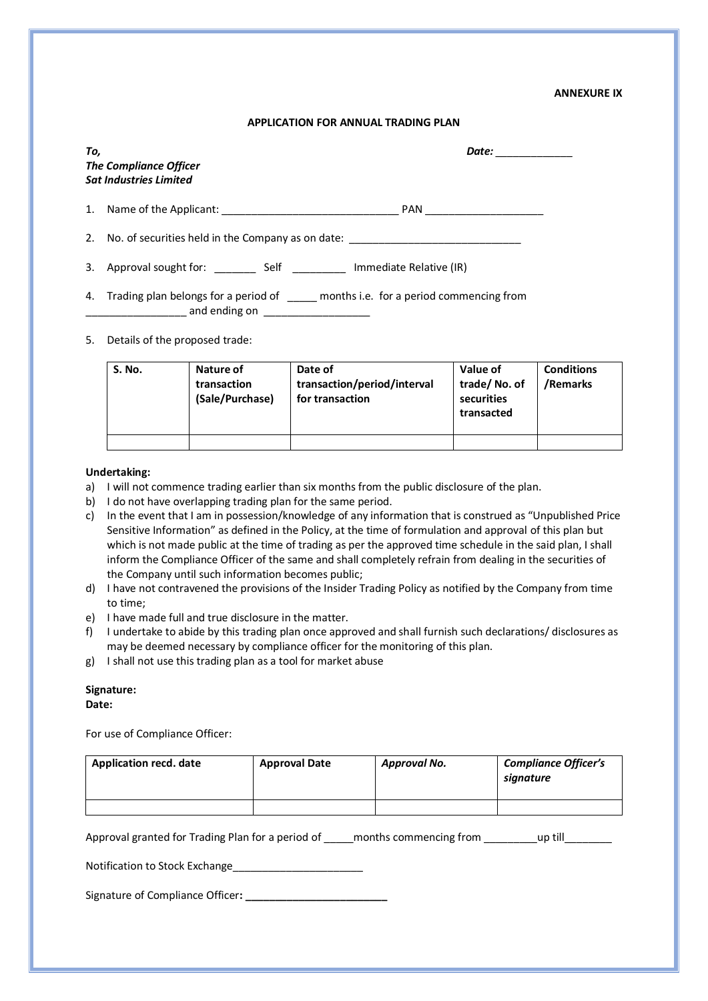#### **ANNEXURE IX**

#### **APPLICATION FOR ANNUAL TRADING PLAN**

| Τo, | <b>The Compliance Officer</b><br><b>Sat Industries Limited</b>                   | Date: |
|-----|----------------------------------------------------------------------------------|-------|
|     | PAN                                                                              |       |
|     | 2. No. of securities held in the Company as on date: ___________________________ |       |
| 3.  | Approval sought for: Self Self Immediate Relative (IR)                           |       |
|     | 4. Trading plan belongs for a period of months i.e. for a period commencing from |       |

5. Details of the proposed trade:

| S. No. | Nature of<br>transaction<br>(Sale/Purchase) | Date of<br>transaction/period/interval<br>for transaction | Value of<br>trade/No. of<br>securities<br>transacted | <b>Conditions</b><br>/Remarks |
|--------|---------------------------------------------|-----------------------------------------------------------|------------------------------------------------------|-------------------------------|
|        |                                             |                                                           |                                                      |                               |

#### **Undertaking:**

- a) I will not commence trading earlier than six months from the public disclosure of the plan.
- b) I do not have overlapping trading plan for the same period.

\_\_\_\_\_\_\_ and ending on \_\_\_\_\_\_\_\_\_\_\_\_\_\_\_\_\_\_\_\_

- c) In the event that I am in possession/knowledge of any information that is construed as "Unpublished Price Sensitive Information" as defined in the Policy, at the time of formulation and approval of this plan but which is not made public at the time of trading as per the approved time schedule in the said plan, I shall inform the Compliance Officer of the same and shall completely refrain from dealing in the securities of the Company until such information becomes public;
- d) I have not contravened the provisions of the Insider Trading Policy as notified by the Company from time to time;
- e) I have made full and true disclosure in the matter.
- f) I undertake to abide by this trading plan once approved and shall furnish such declarations/ disclosures as may be deemed necessary by compliance officer for the monitoring of this plan.
- g) I shall not use this trading plan as a tool for market abuse

#### **Signature:**

#### **Date:**

For use of Compliance Officer:

| <b>Application recd. date</b> | <b>Approval Date</b> | Approval No. | <b>Compliance Officer's</b><br>signature |
|-------------------------------|----------------------|--------------|------------------------------------------|
|                               |                      |              |                                          |

Approval granted for Trading Plan for a period of \_\_\_\_\_months commencing from \_\_\_\_\_\_\_\_\_\_\_\_ up till

Notification to Stock Exchange

Signature of Compliance Officer**: \_\_\_\_\_\_\_\_\_\_\_\_\_\_\_\_\_\_\_\_\_\_\_\_**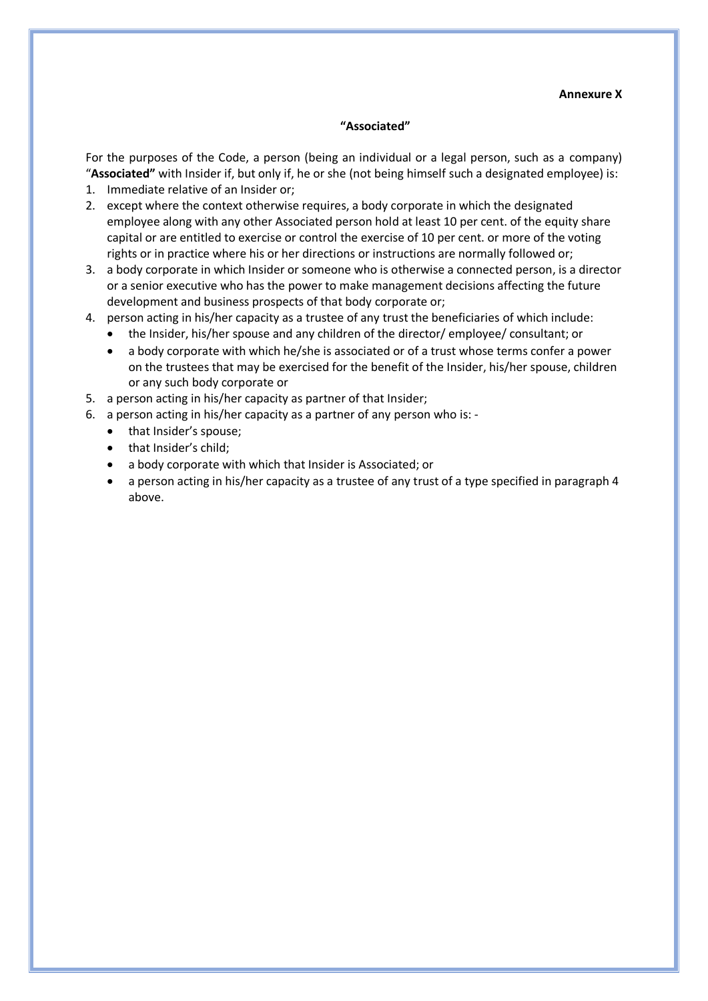#### **Annexure X**

#### **"Associated"**

For the purposes of the Code, a person (being an individual or a legal person, such as a company) "**Associated"** with Insider if, but only if, he or she (not being himself such a designated employee) is:

- 1. Immediate relative of an Insider or;
- 2. except where the context otherwise requires, a body corporate in which the designated employee along with any other Associated person hold at least 10 per cent. of the equity share capital or are entitled to exercise or control the exercise of 10 per cent. or more of the voting rights or in practice where his or her directions or instructions are normally followed or;
- 3. a body corporate in which Insider or someone who is otherwise a connected person, is a director or a senior executive who has the power to make management decisions affecting the future development and business prospects of that body corporate or;
- 4. person acting in his/her capacity as a trustee of any trust the beneficiaries of which include:
	- the Insider, his/her spouse and any children of the director/ employee/ consultant; or
	- a body corporate with which he/she is associated or of a trust whose terms confer a power on the trustees that may be exercised for the benefit of the Insider, his/her spouse, children or any such body corporate or
- 5. a person acting in his/her capacity as partner of that Insider;
- 6. a person acting in his/her capacity as a partner of any person who is:
	- that Insider's spouse;
	- that Insider's child;
	- a body corporate with which that Insider is Associated; or
	- a person acting in his/her capacity as a trustee of any trust of a type specified in paragraph 4 above.